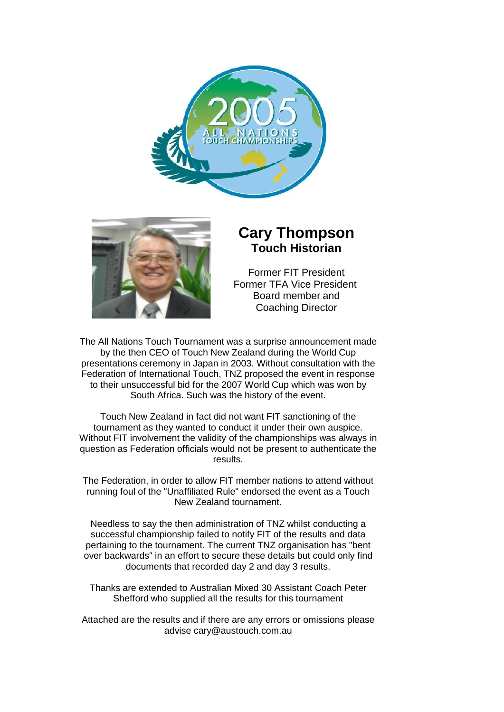



# **Cary Thompson Touch Historian**

Former FIT President Former TFA Vice President Board member and Coaching Director

The All Nations Touch Tournament was a surprise announcement made by the then CEO of Touch New Zealand during the World Cup presentations ceremony in Japan in 2003. Without consultation with the Federation of International Touch, TNZ proposed the event in response to their unsuccessful bid for the 2007 World Cup which was won by South Africa. Such was the history of the event.

Touch New Zealand in fact did not want FIT sanctioning of the tournament as they wanted to conduct it under their own auspice. Without FIT involvement the validity of the championships was always in question as Federation officials would not be present to authenticate the results.

The Federation, in order to allow FIT member nations to attend without running foul of the "Unaffiliated Rule" endorsed the event as a Touch New Zealand tournament.

Needless to say the then administration of TNZ whilst conducting a successful championship failed to notify FIT of the results and data pertaining to the tournament. The current TNZ organisation has "bent over backwards" in an effort to secure these details but could only find documents that recorded day 2 and day 3 results.

Thanks are extended to Australian Mixed 30 Assistant Coach Peter Shefford who supplied all the results for this tournament

Attached are the results and if there are any errors or omissions please advise cary@austouch.com.au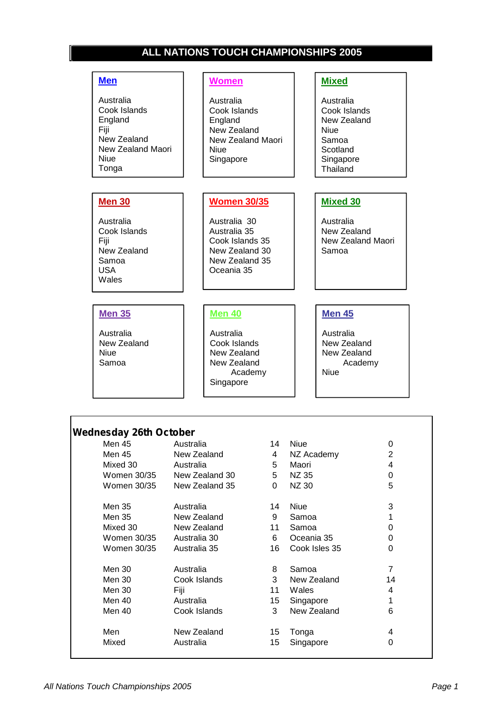## **ALL NATIONS TOUCH CHAMPIONSHIPS 2005**

#### **Men**

Australia Cook Islands England Fiji New Zealand New Zealand Maori Niue Tonga

#### **Women**

Australia Cook Islands England New Zealand New Zealand Maori Niue Singapore

#### **Women 30/35**

Australia 30 Australia 35 Cook Islands 35 New Zealand 30 New Zealand 35 Oceania 35

#### **Mixed**

Australia Cook Islands New Zealand Niue Samoa **Scotland** Singapore **Thailand** 

#### **Mixed 30**

Australia New Zealand New Zealand Maori Samoa

#### **Men 35**

**Men 30**

Australia Cook Islands

New Zealand Samoa USA Wales

Fiji

Australia New Zealand Niue Samoa

Г

#### **Men 40**

Australia Cook Islands New Zealand New Zealand Academy Singapore

#### **Men 45**

Australia New Zealand New Zealand Academy Niue

| <b>Wednesday 26th October</b> |                |    |               |                |
|-------------------------------|----------------|----|---------------|----------------|
| Men 45                        | Australia      | 14 | <b>Niue</b>   | 0              |
| Men 45                        | New Zealand    | 4  | NZ Academy    | $\overline{2}$ |
| Mixed 30                      | Australia      | 5. | Maori         | 4              |
| Women 30/35                   | New Zealand 30 | 5  | NZ 35         | 0              |
| Women 30/35                   | New Zealand 35 | 0  | <b>NZ30</b>   | 5              |
| Men 35                        | Australia      | 14 | <b>Niue</b>   | 3              |
| Men 35                        | New Zealand    | 9  | Samoa         |                |
| Mixed 30                      | New Zealand    | 11 | Samoa         | 0              |
| Women 30/35                   | Australia 30   | 6  | Oceania 35    | 0              |
| Women 30/35                   | Australia 35   | 16 | Cook Isles 35 | 0              |
| Men 30                        | Australia      | 8  | Samoa         | 7              |
| Men 30                        | Cook Islands   | 3  | New Zealand   | 14             |
| Men 30                        | Fiji           | 11 | Wales         | 4              |
| Men 40                        | Australia      | 15 | Singapore     |                |
| Men 40                        | Cook Islands   | 3  | New Zealand   | 6              |
| Men                           | New Zealand    | 15 | Tonga         | 4              |
| Mixed                         | Australia      | 15 | Singapore     | 0              |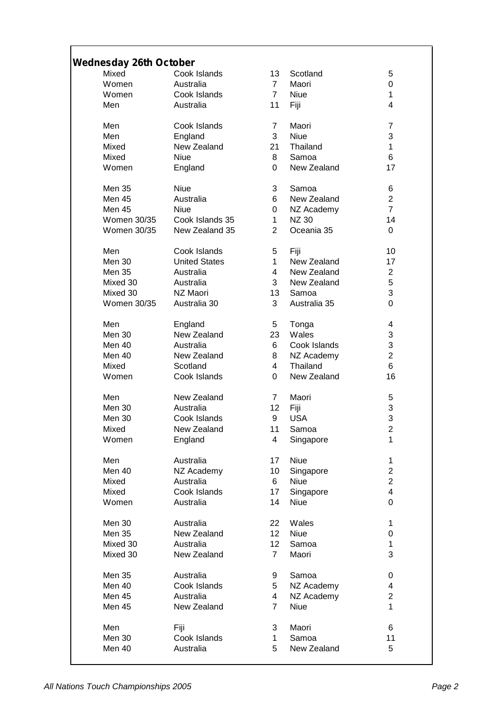# *Wednesday 26th October*

| eunesuay zotn October |                      |                 |              |                |
|-----------------------|----------------------|-----------------|--------------|----------------|
| Mixed                 | Cook Islands         | 13              | Scotland     | 5              |
| Women                 | Australia            | $\overline{7}$  | Maori        | 0              |
|                       |                      |                 |              |                |
| Women                 | Cook Islands         | $\overline{7}$  | <b>Niue</b>  | 1              |
| Men                   | Australia            | 11              | Fiji         | 4              |
| Men                   | Cook Islands         | $\overline{7}$  | Maori        | $\overline{7}$ |
| Men                   | England              | 3               | <b>Niue</b>  | 3              |
| Mixed                 | New Zealand          | 21              | Thailand     | 1              |
| Mixed                 | <b>Niue</b>          | 8               | Samoa        | 6              |
| Women                 |                      | $\Omega$        | New Zealand  | 17             |
|                       | England              |                 |              |                |
| <b>Men 35</b>         | <b>Niue</b>          | 3               | Samoa        | 6              |
| Men 45                | Australia            | 6               | New Zealand  | $\overline{2}$ |
| Men 45                | Niue                 | 0               | NZ Academy   | $\overline{7}$ |
| Women 30/35           | Cook Islands 35      | $\mathbf{1}$    | <b>NZ 30</b> | 14             |
| Women 30/35           | New Zealand 35       | $\overline{2}$  | Oceania 35   | 0              |
|                       |                      |                 |              |                |
| Men                   | Cook Islands         | 5               | Fiji         | 10             |
| Men 30                | <b>United States</b> | 1               | New Zealand  | 17             |
| Men 35                | Australia            | $\overline{4}$  | New Zealand  | $\overline{2}$ |
| Mixed 30              | Australia            | 3               | New Zealand  | 5              |
| Mixed 30              | NZ Maori             | 13              | Samoa        | 3              |
| Women 30/35           | Australia 30         | 3               | Australia 35 | $\overline{0}$ |
|                       |                      |                 |              |                |
| Men                   | England              | 5               | Tonga        | 4              |
| <b>Men 30</b>         | New Zealand          | 23              | Wales        | 3              |
| Men 40                | Australia            | 6               | Cook Islands | 3              |
|                       |                      |                 |              |                |
| Men 40                | New Zealand          | 8               | NZ Academy   | $\overline{2}$ |
| Mixed                 | Scotland             | $\overline{4}$  | Thailand     | 6              |
| Women                 | Cook Islands         | $\Omega$        | New Zealand  | 16             |
| Men                   | New Zealand          | $\overline{7}$  | Maori        | 5              |
| Men 30                | Australia            | 12              | Fiji         | 3              |
| Men 30                | Cook Islands         | 9               | <b>USA</b>   | 3              |
|                       |                      |                 |              |                |
| Mixed                 | New Zealand          | 11              | Samoa        | $\overline{c}$ |
| Women                 | England              | 4               | Singapore    | 1              |
| Men                   | Australia            | 17              | <b>Niue</b>  | 1              |
| Men 40                | NZ Academy           | 10              | Singapore    | $\overline{c}$ |
| Mixed                 | Australia            | 6               | <b>Niue</b>  | $\overline{c}$ |
| Mixed                 | Cook Islands         | 17              | Singapore    | 4              |
| Women                 | Australia            | 14              | <b>Niue</b>  | 0              |
|                       |                      |                 |              |                |
| Men 30                | Australia            | 22              | Wales        | 1              |
| <b>Men 35</b>         | New Zealand          | 12 <sub>2</sub> | <b>Niue</b>  | 0              |
| Mixed 30              | Australia            | 12              | Samoa        | 1              |
| Mixed 30              | New Zealand          | $\overline{7}$  | Maori        | 3              |
| <b>Men 35</b>         | Australia            | 9               | Samoa        | 0              |
| Men 40                | Cook Islands         | 5               |              | 4              |
|                       |                      |                 | NZ Academy   |                |
| Men 45                | Australia            | 4               | NZ Academy   | $\overline{2}$ |
| Men 45                | New Zealand          | $\overline{7}$  | Niue         | 1              |
| Men                   | Fiji                 | 3               | Maori        | 6              |
| Men 30                | Cook Islands         | $\mathbf{1}$    | Samoa        | 11             |
| Men 40                | Australia            | 5               | New Zealand  | 5              |
|                       |                      |                 |              |                |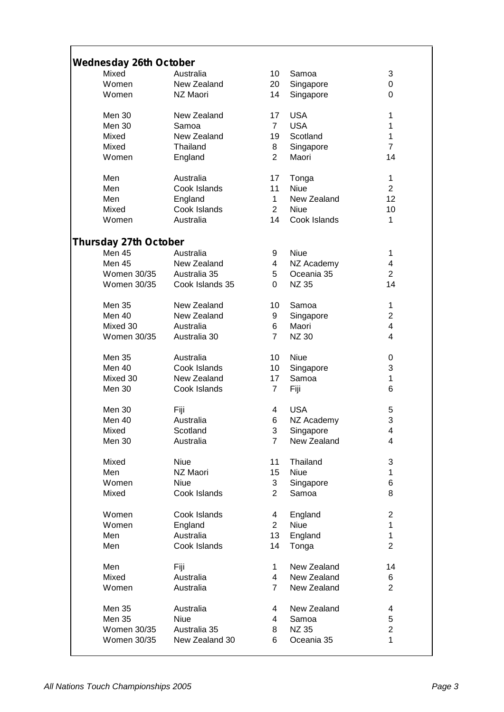## *Wednesday 26th October* Mixed Australia 10 Samoa 3 Women New Zealand 20 Singapore 0 Women NZ Maori 14 Singapore 0 Men 30 New Zealand 17 USA 1 Men 30 Samoa 7 USA 1 Mixed New Zealand 19 Scotland 1 Mixed Thailand 8 Singapore 7 Women England 2 Maori 14 Men Australia 17 Tonga 1 Men Cook Islands 11 Niue 2 Men England 1 New Zealand 12 Mixed Cook Islands 2 Niue 10 Women Australia 14 Cook Islands 1 *Thursday 27th October* Men 45 Australia 9 Niue 1 Men 45 New Zealand 4 NZ Academy 4 Women 30/35 Australia 35 5 Oceania 35 2<br>Women 30/35 Cook Islands 35 0 NZ 35 14 Women 30/35 Cook Islands 35 0 NZ 35 14 Men 35 New Zealand 10 Samoa 1 Men 40 New Zealand 9 Singapore 2 Mixed 30 Australia 6 Maori 4 Women 30/35 Australia 30 7 NZ 30 4 Men 35 Australia 10 Niue 0 Men 40 Cook Islands 10 Singapore 3 Mixed 30 New Zealand 17 Samoa 1 Men 30 Cook Islands 7 Fiji 6 Men 30 Fiji 4 USA 5 Men 40 Australia 6 NZ Academy 3 Mixed Scotland 3 Singapore 4 Men 30 Australia 1 and 7 New Zealand 4 4 Mixed Niue 11 Thailand 3 Men NZ Maori 15 Niue 1 Women Niue 3 Singapore 6 Mixed Cook Islands 2 Samoa 8 Women Cook Islands 4 England 2 Women England 2 Niue 1 Men Australia 13 England 1 Men Cook Islands 14 Tonga 2 Men Fiji 1 New Zealand 14 Mixed Australia 4 New Zealand 6 New Zealand Men 35 Australia 4 New Zealand 4 Men 35 Niue 4 Samoa 5 Women 30/35 Australia 35 8 NZ 35 2

Women 30/35 New Zealand 30 6 Oceania 35 1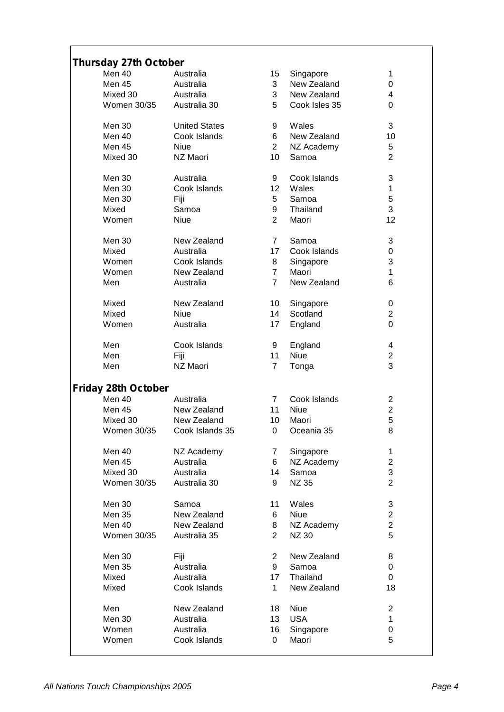# *Thursday 27th October*

| Thursuay 27th October      |                      |                 |               |                |
|----------------------------|----------------------|-----------------|---------------|----------------|
| Men 40                     | Australia            | 15 <sup>7</sup> | Singapore     | 1              |
| Men 45                     | Australia            | 3               | New Zealand   | 0              |
| Mixed 30                   | Australia            | 3               | New Zealand   | 4              |
| Women 30/35                | Australia 30         | 5               | Cook Isles 35 | 0              |
|                            |                      |                 |               |                |
| Men 30                     | <b>United States</b> | 9               | Wales         | 3              |
| Men 40                     | Cook Islands         | 6               | New Zealand   | 10             |
|                            |                      |                 |               |                |
| Men 45                     | <b>Niue</b>          | $2^{\circ}$     | NZ Academy    | 5              |
| Mixed 30                   | NZ Maori             | 10              | Samoa         | $\overline{2}$ |
| Men 30                     | Australia            | 9               | Cook Islands  | 3              |
|                            |                      |                 |               |                |
| Men 30                     | Cook Islands         | 12 <sub>2</sub> | Wales         | 1              |
| Men 30                     | Fiji                 | 5               | Samoa         | 5              |
| Mixed                      | Samoa                | 9               | Thailand      | 3              |
| Women                      | Niue                 | $\overline{2}$  | Maori         | 12             |
|                            |                      |                 |               |                |
| Men 30                     | New Zealand          | $7^{\circ}$     | Samoa         | 3              |
| Mixed                      | Australia            | 17              | Cook Islands  | 0              |
| Women                      | Cook Islands         | 8               | Singapore     | 3              |
| Women                      | New Zealand          | $\overline{7}$  | Maori         | 1              |
| Men                        | Australia            | $\overline{7}$  | New Zealand   | 6              |
|                            |                      |                 |               |                |
| Mixed                      | New Zealand          | 10              | Singapore     | 0              |
| Mixed                      | <b>Niue</b>          | 14              | Scotland      | $\overline{2}$ |
| Women                      | Australia            | 17              | England       | $\mathbf 0$    |
|                            |                      |                 |               |                |
| Men                        | Cook Islands         | 9               | England       | 4              |
| Men                        | Fiji                 | 11              | <b>Niue</b>   | $\overline{2}$ |
| Men                        | NZ Maori             | $\overline{7}$  | Tonga         | 3              |
|                            |                      |                 |               |                |
| <b>Friday 28th October</b> |                      |                 |               |                |
| Men 40                     | Australia            | $\overline{7}$  | Cook Islands  | $\overline{2}$ |
| Men 45                     | New Zealand          | 11              | <b>Niue</b>   | $\overline{2}$ |
| Mixed 30                   | New Zealand          | 10              | Maori         | 5              |
| Women 30/35                | Cook Islands 35      | 0               | Oceania 35    | 8              |
|                            |                      |                 |               |                |
| Men 40                     | NZ Academy           | $\overline{7}$  | Singapore     | 1              |
| Men 45                     | Australia            | 6               | NZ Academy    | $\overline{c}$ |
| Mixed 30                   | Australia            | 14              | Samoa         | 3              |
| Women 30/35                | Australia 30         | 9               | <b>NZ 35</b>  | $\overline{2}$ |
|                            |                      |                 |               |                |
| Men 30                     | Samoa                | 11              | Wales         | 3              |
| Men 35                     | New Zealand          | 6               | <b>Niue</b>   | $\overline{2}$ |
| Men 40                     | New Zealand          |                 |               | $\overline{2}$ |
|                            |                      | 8               | NZ Academy    |                |
| Women 30/35                | Australia 35         | $\overline{2}$  | <b>NZ 30</b>  | 5              |
| Men 30                     | Fiji                 | $\overline{c}$  | New Zealand   | 8              |
| Men 35                     | Australia            | 9               | Samoa         | 0              |
|                            |                      |                 |               |                |
| Mixed                      | Australia            | 17              | Thailand      | 0              |
| Mixed                      | Cook Islands         | $\mathbf 1$     | New Zealand   | 18             |
| Men                        | New Zealand          | 18              | Niue          | $\overline{2}$ |
| Men 30                     | Australia            | 13              | <b>USA</b>    | 1              |
|                            |                      |                 |               |                |
| Women                      | Australia            | 16              | Singapore     | 0              |
| Women                      | Cook Islands         | 0               | Maori         | 5              |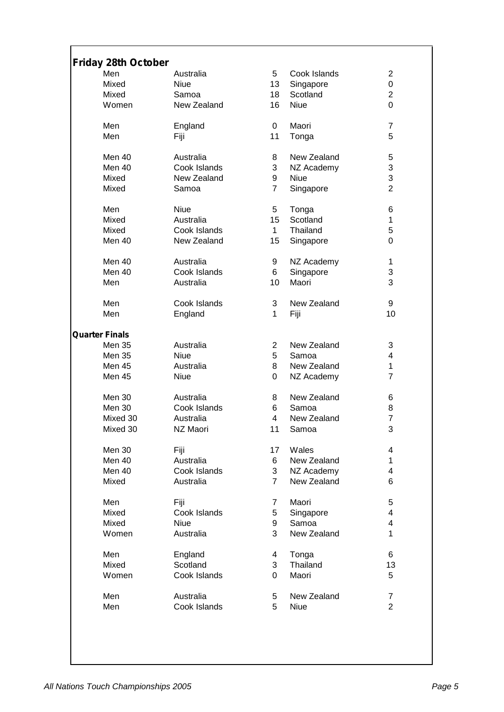| <b>Friday 28th October</b> |              |                |              |                |
|----------------------------|--------------|----------------|--------------|----------------|
| Men                        | Australia    | 5              | Cook Islands | $\overline{2}$ |
| Mixed                      | <b>Niue</b>  |                |              | 0              |
|                            |              | 13             | Singapore    |                |
| Mixed                      | Samoa        | 18             | Scotland     | $\overline{2}$ |
| Women                      | New Zealand  | 16             | <b>Niue</b>  | 0              |
| Men                        | England      | 0              | Maori        | 7              |
| Men                        | Fiji         | 11             |              | 5              |
|                            |              |                | Tonga        |                |
| Men 40                     | Australia    | 8              | New Zealand  | 5              |
| Men 40                     | Cook Islands | 3              | NZ Academy   | 3              |
| Mixed                      | New Zealand  | 9              | Niue         | 3              |
| Mixed                      | Samoa        | $\overline{7}$ | Singapore    | $\overline{2}$ |
|                            |              |                |              |                |
| Men                        | Niue         | 5              | Tonga        | 6              |
| Mixed                      | Australia    | 15             | Scotland     | 1              |
| Mixed                      | Cook Islands | $\mathbf{1}$   | Thailand     | 5              |
| Men 40                     | New Zealand  | 15             | Singapore    | 0              |
|                            |              |                |              |                |
| Men 40                     | Australia    | 9              | NZ Academy   | 1              |
| Men 40                     | Cook Islands | 6              | Singapore    | 3              |
| Men                        | Australia    | 10             | Maori        | 3              |
|                            |              |                |              |                |
| Men                        | Cook Islands | 3              | New Zealand  | 9              |
| Men                        | England      | 1              | Fiji         | 10             |
|                            |              |                |              |                |
| <b>Quarter Finals</b>      |              |                |              |                |
| <b>Men 35</b>              | Australia    | $\overline{2}$ | New Zealand  | 3              |
| <b>Men 35</b>              | <b>Niue</b>  | 5              | Samoa        | 4              |
| Men 45                     | Australia    | 8              | New Zealand  | 1              |
| Men 45                     | Niue         | 0              | NZ Academy   | 7              |
|                            |              |                | New Zealand  |                |
| Men 30                     | Australia    | 8              |              | 6              |
| Men 30                     | Cook Islands | 6              | Samoa        | 8              |
| Mixed 30                   | Australia    | 4              | New Zealand  | 7              |
| Mixed 30                   | NZ Maori     | 11             | Samoa        | 3              |
| Men 30                     | Fiji         | 17             | Wales        | 4              |
| Men 40                     | Australia    | 6              | New Zealand  | 1              |
| Men 40                     | Cook Islands | 3              | NZ Academy   | 4              |
|                            |              | $\overline{7}$ |              | 6              |
| Mixed                      | Australia    |                | New Zealand  |                |
| Men                        | Fiji         | 7              | Maori        | 5              |
| Mixed                      | Cook Islands | 5              | Singapore    | 4              |
| Mixed                      | <b>Niue</b>  | 9              | Samoa        | 4              |
| Women                      | Australia    | 3              | New Zealand  | 1              |
|                            |              |                |              |                |
| Men                        | England      | 4              | Tonga        | 6              |
| Mixed                      | Scotland     | 3              | Thailand     | 13             |
| Women                      | Cook Islands | 0              | Maori        | 5              |
|                            |              |                |              |                |
| Men                        | Australia    | 5              | New Zealand  | 7              |
| Men                        | Cook Islands | 5              | <b>Niue</b>  | $\overline{2}$ |
|                            |              |                |              |                |
|                            |              |                |              |                |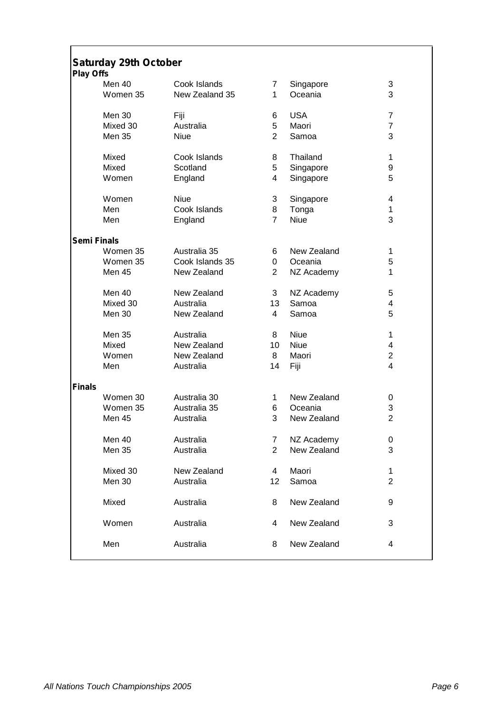| <b>Play Offs</b>   | <b>Saturday 29th October</b> |                 |                |             |                |
|--------------------|------------------------------|-----------------|----------------|-------------|----------------|
|                    | Men 40                       | Cook Islands    | 7              | Singapore   | 3              |
|                    | Women 35                     | New Zealand 35  | 1              | Oceania     | 3              |
|                    | Men 30                       | Fiji            | 6              | <b>USA</b>  | $\overline{7}$ |
|                    | Mixed 30                     | Australia       | 5              | Maori       | $\overline{7}$ |
|                    | <b>Men 35</b>                | <b>Niue</b>     | $\overline{2}$ | Samoa       | 3              |
|                    | Mixed                        | Cook Islands    | 8              | Thailand    | 1              |
|                    | Mixed                        | Scotland        | 5              | Singapore   | 9              |
|                    | Women                        | England         | 4              | Singapore   | 5              |
|                    | Women                        | Niue            | 3              | Singapore   | 4              |
|                    | Men                          | Cook Islands    | 8              | Tonga       | 1              |
|                    | Men                          | England         | $\overline{7}$ | <b>Niue</b> | 3              |
| <b>Semi Finals</b> |                              |                 |                |             |                |
|                    | Women 35                     | Australia 35    | 6              | New Zealand | 1              |
|                    | Women 35                     | Cook Islands 35 | 0              | Oceania     | 5              |
|                    | <b>Men 45</b>                | New Zealand     | $\overline{2}$ | NZ Academy  | $\mathbf{1}$   |
|                    | Men 40                       | New Zealand     | 3              | NZ Academy  | 5              |
|                    | Mixed 30                     | Australia       | 13             | Samoa       | 4              |
|                    | Men 30                       | New Zealand     | $\overline{4}$ | Samoa       | 5              |
|                    | <b>Men 35</b>                | Australia       | 8              | <b>Niue</b> | 1              |
|                    | Mixed                        | New Zealand     | 10             | <b>Niue</b> | 4              |
|                    | Women                        | New Zealand     | 8              | Maori       | $\overline{2}$ |
|                    | Men                          | Australia       | 14             | Fiji        | 4              |
| <b>Finals</b>      |                              |                 |                |             |                |
|                    | Women 30                     | Australia 30    | 1.             | New Zealand | 0              |
|                    | Women 35                     | Australia 35    | 6              | Oceania     | 3              |
|                    | Men 45                       | Australia       | 3              | New Zealand | $\overline{2}$ |
|                    | Men 40                       | Australia       | 7              | NZ Academy  | 0              |
|                    | <b>Men 35</b>                | Australia       | $\overline{2}$ | New Zealand | 3              |
|                    | Mixed 30                     | New Zealand     | 4              | Maori       | $\mathbf{1}$   |
|                    | Men 30                       | Australia       | 12             | Samoa       | $\overline{2}$ |
|                    | Mixed                        | Australia       | 8              | New Zealand | 9              |
|                    | Women                        | Australia       | 4              | New Zealand | 3              |
|                    | Men                          | Australia       | 8              | New Zealand | 4              |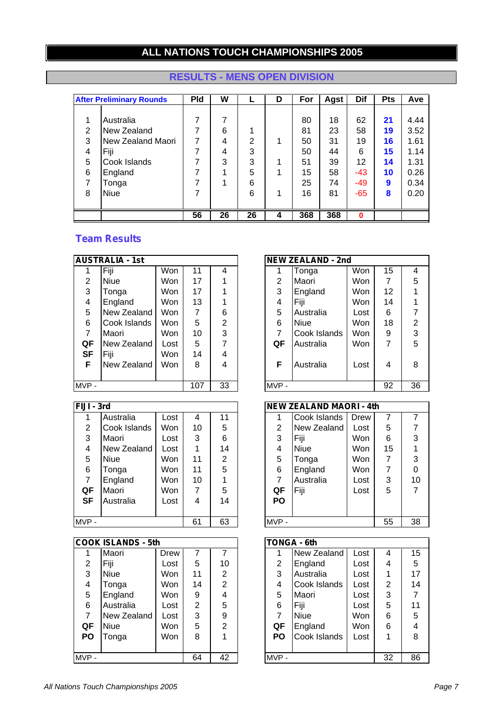# **ALL NATIONS TOUCH CHAMPIONSHIPS 2005**

|   | <b>After Preliminary Rounds</b> | <b>Pld</b> | W  |    | D | For | Agst | <b>Dif</b> | <b>Pts</b> | Ave  |
|---|---------------------------------|------------|----|----|---|-----|------|------------|------------|------|
|   |                                 |            |    |    |   |     |      |            |            |      |
|   | Australia                       | 7          | 7  |    |   | 80  | 18   | 62         | 21         | 4.44 |
| 2 | New Zealand                     |            | 6  |    |   | 81  | 23   | 58         | 19         | 3.52 |
| 3 | New Zealand Maori               | 7          | 4  | 2  | 1 | 50  | 31   | 19         | 16         | 1.61 |
| 4 | Fiji                            | 7          | 4  | 3  |   | 50  | 44   | 6          | 15         | 1.14 |
| 5 | Cook Islands                    |            | 3  | 3  | 1 | 51  | 39   | 12         | 14         | 1.31 |
| 6 | England                         | 7          |    | 5  |   | 15  | 58   | $-43$      | 10         | 0.26 |
| 7 | Tonga                           |            |    | 6  |   | 25  | 74   | -49        | 9          | 0.34 |
| 8 | <b>Niue</b>                     |            |    | 6  | 1 | 16  | 81   | $-65$      | 8          | 0.20 |
|   |                                 |            |    |    |   |     |      |            |            |      |
|   |                                 | 56         | 26 | 26 | 4 | 368 | 368  | $\bf{0}$   |            |      |

# **RESULTS - MENS OPEN DIVISION**

|      | <b>AUSTRALIA - 1st</b> |      |     |    |         | <b>NEW ZEALAND - 2nd</b> |            |   |
|------|------------------------|------|-----|----|---------|--------------------------|------------|---|
|      | Fiji                   | Won  | 11  | 4  |         | Tonga                    | Won        | 1 |
| 2    | Niue                   | Won  | 17  |    | 2       | Maori                    | <b>Won</b> |   |
| 3    | Tonga                  | Won  | 17  |    | 3       | England                  | <b>Won</b> | 1 |
| 4    | England                | Won  | 13  |    | 4       | Fiji                     | Won        | 1 |
| 5    | New Zealand            | Won  | 7   | 6  | 5       | Australia                | Lost       | в |
| 6    | Cook Islands           | Won  | 5   | 2  | 6       | <b>Niue</b>              | <b>Won</b> | 1 |
| 7    | Maori                  | Won  | 10  | 3  |         | Cook Islands             | Won        | ć |
| QF   | New Zealand            | Lost | 5   | 7  | QF      | Australia                | <b>Won</b> |   |
| SF   | Fiji                   | Won  | 14  | 4  |         |                          |            |   |
| F    | New Zealand            | Won  | 8   | 4  | F       | Australia                | Lost       | ۷ |
|      |                        |      |     |    |         |                          |            |   |
| MVP- |                        |      | 107 | 33 | $MVP -$ |                          |            | 9 |

| $\overline{FIJI}$ - 3rd |              |      |    |    |           | <b>NEW ZEALAND MAORI - 4th</b> |            |    |                |
|-------------------------|--------------|------|----|----|-----------|--------------------------------|------------|----|----------------|
|                         | Australia    | Lost | 4  | 11 |           | Cook Islands                   | Drew       |    |                |
| 2                       | Cook Islands | Won  | 10 | 5  | 2         | New Zealand                    | Lost       | 5  |                |
| 3                       | Maori        | Lost | 3  | 6  | 3         | Fiji                           | <b>Won</b> | 6  | З              |
| 4                       | New Zealand  | Lost |    | 14 | 4         | <b>Niue</b>                    | <b>Won</b> | 15 | 1              |
| 5                       | <b>Niue</b>  | Won  | 11 | 2  | 5         | Tonga                          | <b>Won</b> | 7  | З              |
| 6                       | Tonga        | Won  | 11 | 5  | 6         | England                        | <b>Won</b> | 7  | C              |
|                         | England      | Won  | 10 |    |           | Australia                      | Lost       | 3  | 1              |
| QF                      | <b>Maori</b> | Won  |    | 5  | QF        | Fiji                           | Lost       | 5  | 7              |
| <b>SF</b>               | Australia    | Lost | 4  | 14 | <b>PO</b> |                                |            |    |                |
|                         |              |      |    |    |           |                                |            |    |                |
| MVP-                    |              |      | 61 | 63 | MVP-      |                                |            | 55 | 3 <sub>o</sub> |

|           | <b>COOK ISLANDS - 5th</b> |      |                |                | <b>TONGA - 6th</b> |              |  |
|-----------|---------------------------|------|----------------|----------------|--------------------|--------------|--|
|           | Maori                     | Drew | 7              | 7              |                    | New Zealand  |  |
| 2         | Fiji                      | Lost | 5              | 10             | $\overline{2}$     | England      |  |
| 3         | <b>Niue</b>               | Won  | 11             | 2              | 3                  | Australia    |  |
| 4         | Tonga                     | Won  | 14             | $\overline{2}$ | 4                  | Cook Islands |  |
| 5         | England                   | Won  | 9              | 4              | 5                  | Maori        |  |
| 6         | Australia                 | Lost | $\overline{2}$ | 5              | 6                  | Fiji         |  |
| 7         | New Zealand               | Lost | 3              | 9              | $\overline{7}$     | Niue         |  |
| QF        | <b>Niue</b>               | Won  | 5              | $\overline{2}$ | QF                 | England      |  |
| <b>PO</b> | Tonga                     | Won  | 8              |                | PO                 | Cook Islands |  |
|           |                           |      |                |                |                    |              |  |
| $MVP -$   |                           |      | 64             | 42             | MVP-               |              |  |

|                | <b>AUSTRALIA - 1st</b> |            |     |                |                | <b>NEW ZEALAND - 2nd</b> |            |    |    |
|----------------|------------------------|------------|-----|----------------|----------------|--------------------------|------------|----|----|
|                | Fiji                   | Won        | 11  | 4              |                | Tonga                    | Won        | 15 | 4  |
| $\overline{2}$ | <b>Niue</b>            | <b>Won</b> | 17  |                | $\overline{2}$ | Maori                    | <b>Won</b> | 7  | 5  |
| 3              | Tonga                  | <b>Won</b> | 17  |                | 3              | England                  | Won        | 12 |    |
| 4              | England                | Won        | 13  |                | 4              | Fiji                     | <b>Won</b> | 14 |    |
| 5              | New Zealand            | Won        | 7   | 6              | 5              | Australia                | Lost       | 6  |    |
| 6              | Cook Islands           | <b>Won</b> | 5   | $\overline{2}$ | 6              | <b>Niue</b>              | Won        | 18 | 2  |
| 7              | <b>IMaori</b>          | <b>Won</b> | 10  | 3              | 7              | Cook Islands             | Won        | 9  | 3  |
| QF             | New Zealand            | Lost       | 5   |                | QF             | Australia                | Won        | 7  | 5  |
| <b>SF</b>      | Fiji                   | Won        | 14  | 4              |                |                          |            |    |    |
| F              | New Zealand            | Won        | 8   | 4              | F              | Australia                | Lost       | 4  | 8  |
|                |                        |            |     |                |                |                          |            |    |    |
| MVP -          |                        |            | 107 | 33             | MVP-           |                          |            | 92 | 36 |

| FIJI - 3rd |              |      |    |    |                | <b>NEW ZEALAND MAORI - 4th</b> |      |    |    |
|------------|--------------|------|----|----|----------------|--------------------------------|------|----|----|
|            | Australia    | Lost | 4  | 11 |                | Cook Islands                   | Drew |    |    |
| 2          | Cook Islands | Won  | 10 | 5  | $\overline{2}$ | New Zealand                    | Lost | 5  |    |
| 3          | Maori        | Lost | 3  | 6  | 3              | Fiji                           | Won  | 6  | 3  |
| 4          | New Zealand  | Lost |    | 14 | 4              | <b>Niue</b>                    | Won  | 15 |    |
| 5          | <b>Niue</b>  | Won  | 11 | 2  | 5              | Tonga                          | Won  | 7  | 3  |
| 6          | Tonga        | Won  | 11 | 5  | 6              | England                        | Won  | 7  | 0  |
| 7          | England      | Won  | 10 |    | 7              | Australia                      | Lost | 3  | 10 |
| QF         | Maori        | Won  | 7  | 5  | QF             | Fiji                           | Lost | 5  | 7  |
| <b>SF</b>  | Australia    | Lost | 4  | 14 | <b>PO</b>      |                                |      |    |    |
|            |              |      |    |    |                |                                |      |    |    |
| MVP -      |              |      | 61 | 63 | MVP-           |                                |      | 55 | 38 |

|           | <b>COOK ISLANDS - 5th</b> |      |    |                |                | <b>TONGA - 6th</b> |      |                |    |
|-----------|---------------------------|------|----|----------------|----------------|--------------------|------|----------------|----|
|           | Maori                     | Drew |    |                |                | New Zealand        | Lost | 4              | 15 |
| 2         | Fiji                      | Lost | 5  | 10             | $\overline{2}$ | England            | Lost | 4              | 5  |
| 3         | <b>Niue</b>               | Won  | 11 | 2              | 3              | Australia          | Lost | 1              | 17 |
| 4         | Tonga                     | Won  | 14 | $\overline{2}$ | 4              | Cook Islands       | Lost | $\overline{2}$ | 14 |
| 5         | England                   | Won  | 9  | 4              | 5              | Maori              | Lost | 3              |    |
| 6         | Australia                 | Lost | 2  | 5              | 6              | Fiji               | Lost | 5              | 11 |
| 7         | New Zealand               | Lost | 3  | 9              | 7              | <b>Niue</b>        | Won  | 6              | 5  |
| QF        | <b>Niue</b>               | Won  | 5  | $\overline{2}$ | QF             | England            | Won  | 6              | 4  |
| <b>PO</b> | Tonga                     | Won  | 8  |                | <b>PO</b>      | Cook Islands       | Lost | 1              | 8  |
|           |                           |      |    |                |                |                    |      |                |    |
| MVP -     |                           |      | 64 | 42             | MVP-           |                    |      | 32             | 86 |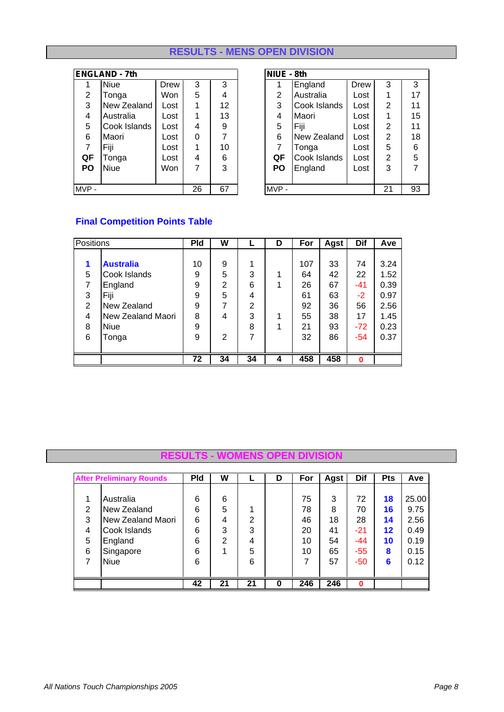# **RESULTS - MENS OPEN DIVISION**

|           | <b>ENGLAND - 7th</b> |            |   |    | NIUE - 8th |                |              |      |    |    |
|-----------|----------------------|------------|---|----|------------|----------------|--------------|------|----|----|
|           | <b>Niue</b>          | Drew       | 3 | 3  |            |                | England      | Drew | 3  | 3  |
| 2         | Tonga                | Won        | 5 | 4  |            | $\overline{2}$ | Australia    | Lost |    | 17 |
| 3         | New Zealand          | Lost       |   | 12 |            | 3              | Cook Islands | Lost | 2  | 11 |
| 4         | Australia            | Lost       |   | 13 |            | 4              | Maori        | Lost |    | 15 |
| 5         | Cook Islands         | Lost       | 4 | 9  |            | 5              | Fiji         | Lost | 2  | 11 |
| 6         | Maori                | Lost       | 0 | 7  |            | 6              | New Zealand  | Lost | 2  | 18 |
| 7         | Fiji                 | Lost       | 1 | 10 |            | 7              | Tonga        | Lost | 5  | 6  |
| QF        | Tonga                | Lost       | 4 | 6  |            | QF             | Cook Islands | Lost | 2  | 5  |
| <b>PO</b> | <b>Niue</b>          | <b>Won</b> | 7 | 3  |            | <b>PO</b>      | England      | Lost | 3  | 7  |
|           |                      |            |   |    |            |                |              |      |    |    |
| MVP-      | 67<br>26             |            |   |    |            | $MVP -$        |              |      | 21 | 93 |

|     | NGLAND - 7th |      |    |    | NIUE - 8th     |              |      |                |    |
|-----|--------------|------|----|----|----------------|--------------|------|----------------|----|
|     | <b>Niue</b>  | Drew | 3  | 3  |                | England      | Drew | 3              | 3  |
| 2   | Tonga        | Won  | 5  | 4  | $\overline{2}$ | Australia    | Lost | 1              | 17 |
| 3   | New Zealand  | Lost | 1  | 12 | 3              | Cook Islands | Lost | 2              | 11 |
| 4   | Australia    | Lost | 1  | 13 | 4              | Maori        | Lost | 1              | 15 |
| 5   | Cook Islands | Lost | 4  | 9  | 5              | Fiji         | Lost | $\overline{2}$ | 11 |
| 6   | Maori        | Lost | 0  | 7  | 6              | New Zealand  | Lost | $\overline{2}$ | 18 |
|     | Fiji         | Lost | 1  | 10 | 7              | Tonga        | Lost | 5              | 6  |
| QF  | ⊺onga        | Lost | 4  | 6  | QF             | Cook Islands | Lost | $\overline{2}$ | 5  |
| PO  | <b>Niue</b>  | Won  | 7  | 3  | PO             | England      | Lost | 3              |    |
|     |              |      |    |    |                |              |      |                |    |
| VP- |              |      | 26 | 67 | MVP-           |              |      | 21             | 93 |

# **Final Competition Points Table**

| <b>Positions</b> |                   | <b>Pld</b> | W              |                | D | For | Agst | Dif      | Ave  |
|------------------|-------------------|------------|----------------|----------------|---|-----|------|----------|------|
|                  |                   |            |                |                |   |     |      |          |      |
|                  | <b>Australia</b>  | 10         | 9              |                |   | 107 | 33   | 74       | 3.24 |
| 5                | Cook Islands      | 9          | 5              | 3              |   | 64  | 42   | 22       | 1.52 |
|                  | England           | 9          | $\overline{2}$ | 6              |   | 26  | 67   | $-41$    | 0.39 |
| 3                | Fiji              | 9          | 5              | 4              |   | 61  | 63   | $-2$     | 0.97 |
| 2                | New Zealand       | 9          | 7              | $\overline{2}$ |   | 92  | 36   | 56       | 2.56 |
| 4                | New Zealand Maori | 8          | 4              | 3              |   | 55  | 38   | 17       | 1.45 |
| 8                | <b>Niue</b>       | 9          |                | 8              |   | 21  | 93   | $-72$    | 0.23 |
| 6                | Tonga             | 9          | $\overline{2}$ | 7              |   | 32  | 86   | $-54$    | 0.37 |
|                  |                   |            |                |                |   |     |      |          |      |
|                  |                   | 72         | 34             | 34             | 4 | 458 | 458  | $\bf{0}$ |      |

#### **RESULTS - WOMENS OPEN DIVISION**

|   | <b>After Preliminary Rounds</b> | <b>Pld</b> | W              |    | D        | For | Agst | <b>Dif</b> | <b>Pts</b> | Ave   |
|---|---------------------------------|------------|----------------|----|----------|-----|------|------------|------------|-------|
|   |                                 |            |                |    |          |     |      |            |            |       |
|   | Australia                       | 6          | 6              |    |          | 75  | 3    | 72         | 18         | 25.00 |
| 2 | New Zealand                     | 6          | 5              | ٠  |          | 78  | 8    | 70         | 16         | 9.75  |
| 3 | New Zealand Maori               | 6          | 4              | 2  |          | 46  | 18   | 28         | 14         | 2.56  |
| 4 | Cook Islands                    | 6          | 3              | 3  |          | 20  | 41   | -21        | 12         | 0.49  |
| 5 | England                         | 6          | $\overline{2}$ | 4  |          | 10  | 54   | $-44$      | 10         | 0.19  |
| 6 | Singapore                       | 6          |                | 5  |          | 10  | 65   | $-55$      | 8          | 0.15  |
|   | <b>Niue</b>                     | 6          |                | 6  |          |     | 57   | -50        | 6          | 0.12  |
|   |                                 |            |                |    |          |     |      |            |            |       |
|   |                                 | 42         | 21             | 21 | $\Omega$ | 246 | 246  | $\bf{0}$   |            |       |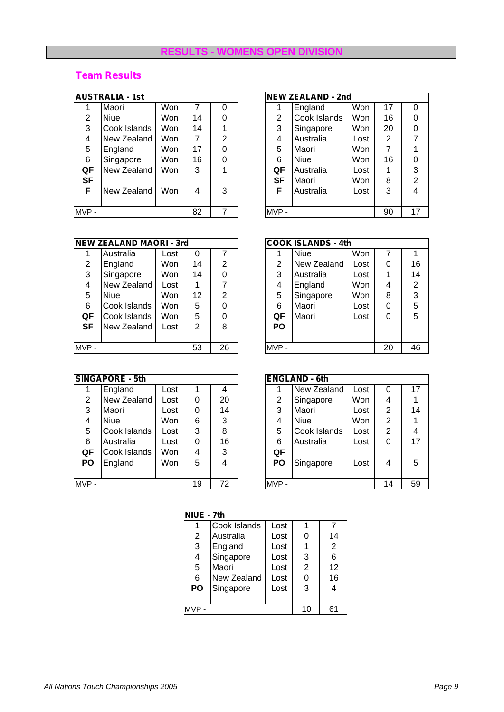## **RESULTS - WOMENS OPEN DIVISION**

|                | <b>AUSTRALIA - 1st</b> |            |    |   |           | <b>NEW ZEALAND - 2nd</b> |      |                    |
|----------------|------------------------|------------|----|---|-----------|--------------------------|------|--------------------|
|                | Maori                  | Won        |    |   |           | England                  | Won  | 1                  |
| $\overline{2}$ | <b>Niue</b>            | Won        | 14 | 0 | 2         | Cook Islands             | Won  | 1                  |
| 3              | Cook Islands           | Won        | 14 |   | 3         | Singapore                | Won  | $\overline{2}$     |
| 4              | New Zealand            | <b>Won</b> | 7  | 2 | 4         | Australia                | Lost | $\tilde{\epsilon}$ |
| 5              | England                | Won        | 17 | 0 | 5         | Maori                    | Won  |                    |
| 6              | Singapore              | Won        | 16 | 0 | 6         | <b>Niue</b>              | Won  | 1                  |
| QF             | New Zealand            | Won        | 3  |   | QF        | Australia                | Lost |                    |
| <b>SF</b>      |                        |            |    |   | <b>SF</b> | Maori                    | Won  | ξ                  |
| F              | New Zealand            | Won        | 4  | 3 | F         | Australia                | Lost | Ć                  |
|                |                        |            |    |   |           |                          |      |                    |
| MVP-           |                        |            | 82 |   | $MVP -$   |                          |      | 9                  |

|      | <b>NEW ZEALAND MAORI - 3rd</b> |      |    |                |           | <b>COOK ISLANDS - 4th</b> |      |                |
|------|--------------------------------|------|----|----------------|-----------|---------------------------|------|----------------|
|      | Australia                      | Lost | 0  | 7              |           | <b>Niue</b>               | Won  |                |
| 2    | England                        | Won  | 14 | $\overline{2}$ | 2         | New Zealand               | Lost |                |
| 3    | Singapore                      | Won  | 14 | 0              | 3         | Australia                 | Lost |                |
| 4    | New Zealand                    | Lost |    | 7              | 4         | England                   | Won  | ۷              |
| 5    | Niue                           | Won  | 12 | $\overline{2}$ | 5         | Singapore                 | Won  | ٤              |
| 6    | Cook Islands                   | Won  | 5  | 0              | 6         | Maori                     | Lost |                |
| QF   | Cook Islands                   | Won  | 5  | 0              | QF        | Maori                     | Lost |                |
| SF   | New Zealand                    | Lost | 2  | 8              | <b>PO</b> |                           |      |                |
|      |                                |      |    |                |           |                           |      |                |
| MVP- |                                |      | 53 | 26             | $MVP -$   |                           |      | $\overline{2}$ |

|                | <b>SINGAPORE - 5th</b> |      |    |    |                | <b>ENGLAND - 6th</b> |     |
|----------------|------------------------|------|----|----|----------------|----------------------|-----|
|                | England                | Lost |    | 4  |                | New Zealand          | Los |
| $\overline{2}$ | New Zealand            | Lost | 0  | 20 | $\overline{2}$ | Singapore            | Wo  |
| 3              | Maori                  | Lost | 0  | 14 | 3              | Maori                | Los |
| 4              | <b>Niue</b>            | Won  | 6  | 3  | 4              | <b>Niue</b>          | Wo  |
| 5              | Cook Islands           | Lost | 3  | 8  | 5              | Cook Islands         | Los |
| 6              | Australia              | Lost | 0  | 16 | 6              | Australia            | Los |
| QF             | Cook Islands           | Won  | 4  | 3  | QF             |                      |     |
| <b>PO</b>      | England                | Won  | 5  | 4  | <b>PO</b>      | Singapore            | Los |
|                |                        |      |    |    |                |                      |     |
| MVP-           |                        |      | 19 | 72 | MVP-           |                      |     |

|           | <b>AUSTRALIA - 1st</b> |            |    |                |  |      | <b>NEW ZEALAND - 2nd</b> |            |    |    |
|-----------|------------------------|------------|----|----------------|--|------|--------------------------|------------|----|----|
|           | Maori                  | Won        |    |                |  |      | England                  | Won        | 17 | 0  |
| 2         | <b>Niue</b>            | <b>Won</b> | 14 | 0              |  | 2    | Cook Islands             | <b>Won</b> | 16 | 0  |
| 3         | Cook Islands           | Won        | 14 |                |  | 3    | Singapore                | Won        | 20 | 0  |
| 4         | New Zealand            | Won        | 7  | $\mathfrak{p}$ |  | 4    | Australia                | Lost       | 2  |    |
| 5         | England                | Won        | 17 | 0              |  | 5    | Maori                    | <b>Won</b> | 7  |    |
| 6         | Singapore              | Won        | 16 | 0              |  | 6    | <b>Niue</b>              | <b>Won</b> | 16 | 0  |
| QF        | New Zealand            | <b>Won</b> | 3  |                |  | QF   | Australia                | Lost       |    | 3  |
| <b>SF</b> |                        |            |    |                |  | SF   | <b>Maori</b>             | <b>Won</b> | 8  | 2  |
| F         | New Zealand            | <b>Won</b> | 4  | 3              |  | F    | Australia                | Lost       | 3  | 4  |
|           |                        |            |    |                |  |      |                          |            |    |    |
| MVP -     |                        |            | 82 | 7              |  | MVP- |                          |            | 90 | 17 |

|           | <b>NEW ZEALAND MAORI - 3rd</b> |      |    |          |           | <b>COOK ISLANDS - 4th</b> |            |    |    |
|-----------|--------------------------------|------|----|----------|-----------|---------------------------|------------|----|----|
|           | Australia                      | Lost | 0  |          |           | Niue                      | <b>Won</b> |    |    |
| 2         | England                        | Won  | 14 | 2        | 2         | New Zealand               | Lost       | 0  | 16 |
| 3         | Singapore                      | Won  | 14 | 0        | 3         | Australia                 | Lost       | 1  | 14 |
| 4         | New Zealand                    | Lost |    |          | 4         | England                   | <b>Won</b> | 4  | 2  |
| 5         | Niue                           | Won  | 12 | 2        | 5         | Singapore                 | Won        | 8  | 3  |
| 6         | Cook Islands                   | Won  | 5  | $\Omega$ | 6         | Maori                     | Lost       | 0  | 5  |
| QF        | Cook Islands                   | Won  | 5. | $\Omega$ | QF        | Maori                     | Lost       | 0  | 5  |
| <b>SF</b> | New Zealand                    | Lost | 2  | 8        | <b>PO</b> |                           |            |    |    |
|           |                                |      |    |          |           |                           |            |    |    |
| MVP -     |                                |      | 53 | 26       | MVP-      |                           |            | 20 | 46 |

|                | <b>SINGAPORE - 5th</b> |      |   |    | <b>ENGLAND - 6th</b> |           |              |            |                |    |
|----------------|------------------------|------|---|----|----------------------|-----------|--------------|------------|----------------|----|
|                | England                | Lost |   | 4  |                      |           | New Zealand  | Lost       | 0              | 17 |
| $\overline{2}$ | New Zealand            | Lost | 0 | 20 |                      | 2         | Singapore    | <b>Won</b> | 4              |    |
| 3              | Maori                  | Lost | 0 | 14 |                      | 3         | Maori        | Lost       | $\overline{2}$ | 14 |
| 4              | <b>Niue</b>            | Won  | 6 | 3  |                      | 4         | <b>Niue</b>  | Won        | 2              |    |
| 5              | Cook Islands           | Lost | 3 | 8  |                      | 5         | Cook Islands | Lost       | 2              | 4  |
| 6              | Australia              | Lost | 0 | 16 |                      | 6         | Australia    | Lost       | 0              | 17 |
| QF             | Cook Islands           | Won  | 4 | 3  |                      | QF        |              |            |                |    |
| <b>PO</b>      | England                | Won  | 5 | 4  |                      | <b>PO</b> | Singapore    | Lost       | 4              | 5  |
|                |                        |      |   |    |                      |           |              |            |                |    |
| MVP -          | 72<br>19               |      |   |    | MVP-                 |           |              | 14         | 59             |    |

| NIUE - 7th |              |      |   |    |  |  |  |  |  |  |
|------------|--------------|------|---|----|--|--|--|--|--|--|
|            | Cook Islands | Lost |   |    |  |  |  |  |  |  |
| 2          | Australia    | Lost |   | 14 |  |  |  |  |  |  |
| 3          | England      | Lost |   | 2  |  |  |  |  |  |  |
| 4          | Singapore    | Lost | 3 | 6  |  |  |  |  |  |  |
| 5          | Maori        | Lost | 2 | 12 |  |  |  |  |  |  |
| 6          | New Zealand  | Lost |   | 16 |  |  |  |  |  |  |
| PO         | Singapore    | Lost | 3 | 4  |  |  |  |  |  |  |
|            |              |      |   |    |  |  |  |  |  |  |
| 61<br>10   |              |      |   |    |  |  |  |  |  |  |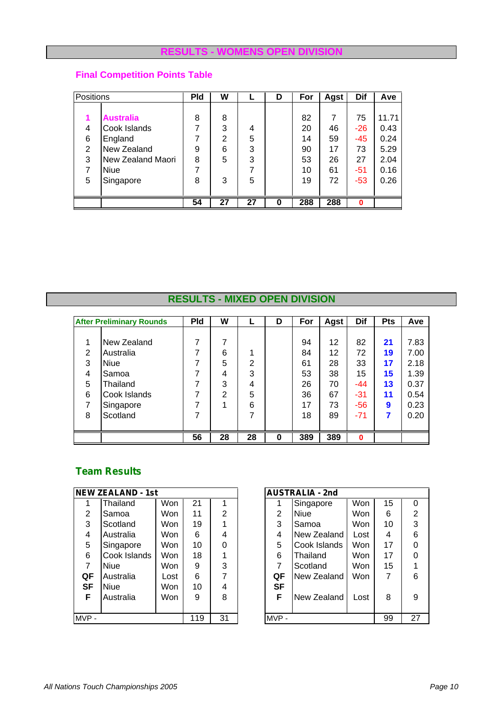#### **RESULTS - WOMENS OPEN DIVISION**

# **Final Competition Points Table**

|   | <b>Positions</b>  |    | W              |    | D | For | Agst | Dif      | Ave   |
|---|-------------------|----|----------------|----|---|-----|------|----------|-------|
|   |                   |    |                |    |   |     |      |          |       |
|   | <b>Australia</b>  | 8  | 8              |    |   | 82  | 7    | 75       | 11.71 |
| 4 | Cook Islands      | 7  | 3              | 4  |   | 20  | 46   | $-26$    | 0.43  |
| 6 | England           | 7  | $\overline{2}$ | 5  |   | 14  | 59   | $-45$    | 0.24  |
| 2 | New Zealand       | 9  | 6              | 3  |   | 90  | 17   | 73       | 5.29  |
| 3 | New Zealand Maori | 8  | 5              | 3  |   | 53  | 26   | 27       | 2.04  |
| 7 | <b>Niue</b>       | 7  |                |    |   | 10  | 61   | $-51$    | 0.16  |
| 5 | Singapore         | 8  | 3              | 5  |   | 19  | 72   | $-53$    | 0.26  |
|   |                   |    |                |    |   |     |      |          |       |
|   |                   | 54 | 27             | 27 | 0 | 288 | 288  | $\bf{0}$ |       |

# **RESULTS - MIXED OPEN DIVISION**

|   | <b>After Preliminary Rounds</b> | <b>Pld</b> | W              |    | D | For | Agst | Dif   | <b>Pts</b> | Ave  |
|---|---------------------------------|------------|----------------|----|---|-----|------|-------|------------|------|
|   |                                 |            |                |    |   |     |      |       |            |      |
| 1 | New Zealand                     | 7          | 7              |    |   | 94  | 12   | 82    | 21         | 7.83 |
| 2 | Australia                       | 7          | 6              |    |   | 84  | 12   | 72    | 19         | 7.00 |
| 3 | <b>Niue</b>                     | 7          | 5              | 2  |   | 61  | 28   | 33    | 17         | 2.18 |
| 4 | Samoa                           | ⇁          | 4              | 3  |   | 53  | 38   | 15    | 15         | 1.39 |
| 5 | Thailand                        | 7          | 3              | 4  |   | 26  | 70   | -44   | 13         | 0.37 |
| 6 | Cook Islands                    | 7          | $\overline{2}$ | 5  |   | 36  | 67   | $-31$ | 11         | 0.54 |
| 7 | Singapore                       | 7          |                | 6  |   | 17  | 73   | $-56$ | 9          | 0.23 |
| 8 | Scotland                        | 7          |                |    |   | 18  | 89   | $-71$ | 7          | 0.20 |
|   |                                 |            |                |    |   |     |      |       |            |      |
|   |                                 | 56         | 28             | 28 | 0 | 389 | 389  | 0     |            |      |

|           | <b>NEW ZEALAND - 1st</b> |      |     |                |           | <b>AUSTRALIA - 2nd</b> |      |
|-----------|--------------------------|------|-----|----------------|-----------|------------------------|------|
|           | Thailand                 | Won  | 21  |                |           | Singapore              | Won  |
| 2         | Samoa                    | Won  | 11  | $\overline{2}$ | 2         | <b>Niue</b>            | Won  |
| 3         | Scotland                 | Won  | 19  |                | 3         | Samoa                  | Won  |
| 4         | Australia                | Won  | 6   | 4              | 4         | New Zealand            | Lost |
| 5         | Singapore                | Won  | 10  | 0              | 5         | Cook Islands           | Won  |
| 6         | Cook Islands             | Won  | 18  |                | 6         | Thailand               | Won  |
| 7         | <b>Niue</b>              | Won  | 9   | 3              | 7         | Scotland               | Won  |
| QF        | Australia                | Lost | 6   | 7              | QF        | New Zealand            | Won  |
| <b>SF</b> | <b>Niue</b>              | Won  | 10  | 4              | <b>SF</b> |                        |      |
| F         | Australia                | Won  | 9   | 8              | F         | New Zealand            | Lost |
|           |                          |      |     |                |           |                        |      |
| MVP-      |                          |      | 119 | 31             | $MVP -$   |                        |      |

|                | <b>NEW ZEALAND - 1st</b> |            |     |          |                     | <b>AUSTRALIA - 2nd</b> |      |    |   |  |  |
|----------------|--------------------------|------------|-----|----------|---------------------|------------------------|------|----|---|--|--|
|                | Thailand                 | Won        | 21  |          |                     | Singapore              | Won  | 15 | 0 |  |  |
| $\overline{2}$ | Samoa                    | Won        | 11  | 2        | 2                   | <b>Niue</b>            | Won  | 6  | 2 |  |  |
| 3              | Scotland                 | <b>Won</b> | 19  |          | 3                   | Samoa                  | Won  | 10 | 3 |  |  |
| 4              | Australia                | <b>Won</b> | 6   | 4        | 4                   | New Zealand            | Lost | 4  | 6 |  |  |
| 5              | Singapore                | Won        | 10  | $\Omega$ | 5                   | Cook Islands           | Won  | 17 | 0 |  |  |
| 6              | Cook Islands             | <b>Won</b> | 18  |          | 6                   | Thailand               | Won  | 17 | 0 |  |  |
| 7              | <b>Niue</b>              | <b>Won</b> | 9   | 3        | 7                   | Scotland               | Won  | 15 |   |  |  |
| QF             | Australia                | Lost       | 6   | 7        | QF                  | New Zealand            | Won  | 7  | 6 |  |  |
| <b>SF</b>      | <b>Niue</b>              | Won        | 10  | 4        | <b>SF</b>           |                        |      |    |   |  |  |
| F              | Australia                | Won        | 9   | 8        | F                   | New Zealand            | Lost | 8  | 9 |  |  |
|                |                          |            |     |          |                     |                        |      |    |   |  |  |
| MVP -          |                          |            | 119 | 31       | 27<br>99<br>$MVP -$ |                        |      |    |   |  |  |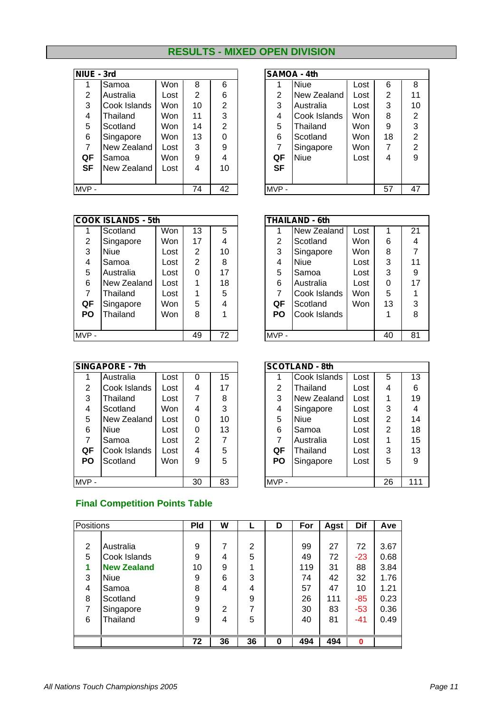## **RESULTS - MIXED OPEN DIVISION**

| NIUE - 3rd |              |      |                |                |           | <b>SAMOA - 4th</b> |   |
|------------|--------------|------|----------------|----------------|-----------|--------------------|---|
|            | Samoa        | Won  | 8              | 6              |           | Niue               |   |
| 2          | Australia    | Lost | $\overline{2}$ | 6              | 2         | New Zealand        |   |
| 3          | Cook Islands | Won  | 10             | 2              | 3         | Australia          |   |
| 4          | Thailand     | Won  | 11             | 3              | 4         | Cook Islands       | V |
| 5          | Scotland     | Won  | 14             | $\overline{2}$ | 5         | Thailand           | V |
| 6          | Singapore    | Won  | 13             | 0              | 6         | Scotland           | V |
| 7          | New Zealand  | Lost | 3              | 9              | 7         | Singapore          | V |
| QF         | Samoa        | Won  | 9              | 4              | QF        | <b>Niue</b>        |   |
| SF         | New Zealand  | Lost | 4              | 10             | <b>SF</b> |                    |   |
|            |              |      |                |                |           |                    |   |
| $MVP -$    |              | 74   | 42             | MVP-           |           |                    |   |

| NIUE - 3rd |              |            |                |                |                  |                | <b>SAMOA - 4th</b> |            |    |                |
|------------|--------------|------------|----------------|----------------|------------------|----------------|--------------------|------------|----|----------------|
|            | Samoa        | Won        | 8              | 6              |                  |                | <b>Niue</b>        | Lost       | 6  | 8              |
| 2          | Australia    | Lost       | $\overline{2}$ | 6              |                  | $\overline{2}$ | New Zealand        | Lost       | 2  | 11             |
| 3          | Cook Islands | <b>Won</b> | 10             | $\mathfrak{p}$ |                  | 3              | Australia          | Lost       | 3  | 10             |
| 4          | Thailand     | Won        | 11             | 3              |                  | 4              | Cook Islands       | <b>Won</b> | 8  | 2              |
| 5          | Scotland     | <b>Won</b> | 14             | $\overline{2}$ |                  | 5              | Thailand           | <b>Won</b> | 9  | 3              |
| 6          | Singapore    | Won        | 13             | $\Omega$       |                  | 6              | Scotland           | <b>Won</b> | 18 | $\overline{2}$ |
| 7          | New Zealand  | Lost       | 3              | 9              |                  | 7              | Singapore          | Won        | 7  | $\overline{2}$ |
| QF         | Samoa        | Won        | 9              | 4              |                  | QF             | <b>Niue</b>        | Lost       | 4  | 9              |
| <b>SF</b>  | New Zealand  | Lost       | 4              | 10             |                  | <b>SF</b>      |                    |            |    |                |
|            |              |            |                |                |                  |                |                    |            |    |                |
| MVP -      |              |            | 74             | 42             | 47<br>57<br>MVP- |                |                    |            |    |                |

|                   | <b>COOK ISLANDS - 5th</b> |      |      |    |           | <b>THAILAND - 6th</b> |            |    |    |
|-------------------|---------------------------|------|------|----|-----------|-----------------------|------------|----|----|
|                   | Scotland                  | Won  | 13   | 5  |           | New Zealand           | Lost       |    | 21 |
| $\overline{2}$    | Singapore                 | Won  | 17   | 4  | 2         | Scotland              | <b>Won</b> | 6  | 4  |
| 3                 | <b>Niue</b>               | Lost | 2    | 10 | 3         | Singapore             | <b>Won</b> | 8  |    |
| 4                 | Samoa                     | Lost | 2    | 8  | 4         | <b>Niue</b>           | Lost       | 3  | 11 |
| 5                 | Australia                 | Lost | 0    | 17 | 5         | Samoa                 | Lost       | 3  | 9  |
| 6                 | New Zealand               | Lost |      | 18 | 6         | Australia             | Lost       | 0  | 17 |
| 7                 | Thailand                  | Lost |      | 5  | 7         | Cook Islands          | <b>Won</b> | 5  |    |
| QF                | Singapore                 | Won  | 5    | 4  | QF        | Scotland              | <b>Won</b> | 13 | 3  |
| <b>PO</b>         | Thailand                  | Won  | 8    |    | <b>PO</b> | Cook Islands          |            |    | 8  |
|                   |                           |      |      |    |           |                       |            |    |    |
| 72<br>49<br>MVP - |                           |      | MVP- |    |           | 40                    | 81         |    |    |

|           | SINGAPORE - 7th |      |    |    |         | <b>SCOTLAND - 8th</b> |      |
|-----------|-----------------|------|----|----|---------|-----------------------|------|
|           | Australia       | Lost | 0  | 15 |         | Cook Islands          | Lost |
| 2         | Cook Islands    | Lost | 4  | 17 | 2       | Thailand              | Lost |
| 3         | Thailand        | Lost | 7  | 8  | 3       | <b>New Zealand</b>    | Lost |
| 4         | Scotland        | Won  | 4  | 3  | 4       | Singapore             | Lost |
| 5         | New Zealand     | Lost | 0  | 10 | 5       | <b>Niue</b>           | Lost |
| 6         | Niue            | Lost | 0  | 13 | 6       | Samoa                 | Lost |
| 7         | Samoa           | Lost | 2  | 7  | 7       | Australia             | Lost |
| QF        | Cook Islands    | Lost | 4  | 5  | QF      | Thailand              | Lost |
| <b>PO</b> | Scotland        | Won  | 9  | 5  | PO      | Singapore             | Lost |
|           |                 |      |    |    |         |                       |      |
| MVP-      |                 |      | 30 | 83 | $MVP -$ |                       |      |

|                | <b>THAILAND - 6th</b> |      |    |    |
|----------------|-----------------------|------|----|----|
|                | New Zealand           | Lost | 1  | 21 |
| $\overline{2}$ | Scotland              | Won  | 6  | 4  |
| 3              | Singapore             | Won  | 8  | 7  |
| 4              | Niue                  | Lost | 3  | 11 |
| 5              | Samoa                 | Lost | 3  | 9  |
| 6              | Australia             | Lost | 0  | 17 |
| $\overline{7}$ | Cook Islands          | Won  | 5  |    |
| QF             | Scotland              | Won  | 13 | 3  |
| PΟ             | Cook Islands          |      | 1  | 8  |
|                |                       |      |    |    |
| <b>MVP</b>     |                       |      | 40 | 81 |

|                | <b>SINGAPORE - 7th</b> |      |                |                 |                      | <b>SCOTLAND - 8th</b> |      |                |    |
|----------------|------------------------|------|----------------|-----------------|----------------------|-----------------------|------|----------------|----|
|                | Australia              | Lost | 0              | 15 <sub>2</sub> |                      | Cook Islands          | Lost | 5              | 13 |
| $\overline{2}$ | Cook Islands           | Lost | 4              | 17              | 2                    | Thailand              | Lost | 4              | 6  |
| 3              | Thailand               | Lost | 7              | 8               | 3                    | New Zealand           | Lost |                | 19 |
| 4              | Scotland               | Won  | 4              | 3               | 4                    | Singapore             | Lost | 3              | 4  |
| 5              | New Zealand            | Lost | 0              | 10              | 5                    | <b>Niue</b>           | Lost | $\overline{2}$ | 14 |
| 6              | <b>Niue</b>            | Lost | 0              | 13              | 6                    | Samoa                 | Lost | 2              | 18 |
| 7              | Samoa                  | Lost | $\mathfrak{p}$ | 7               | 7                    | Australia             | Lost |                | 15 |
| QF             | Cook Islands           | Lost | 4              | 5               | QF                   | Thailand              | Lost | 3              | 13 |
| <b>PO</b>      | Scotland               | Won  | 9              | 5               | <b>PO</b>            | Singapore             | Lost | 5              | 9  |
|                |                        |      |                |                 |                      |                       |      |                |    |
| MVP -          |                        |      | 30             | 83              | 26<br>111<br>$MVP -$ |                       |      |                |    |

#### **Final Competition Points Table**

| Positions |                    | <b>Pld</b> | W  |                | D | For | Agst | <b>Dif</b> | Ave  |
|-----------|--------------------|------------|----|----------------|---|-----|------|------------|------|
|           |                    |            |    |                |   |     |      |            |      |
| 2         | Australia          | 9          | 7  | $\overline{2}$ |   | 99  | 27   | 72         | 3.67 |
| 5         | Cook Islands       | 9          | 4  | 5              |   | 49  | 72   | $-23$      | 0.68 |
| 1         | <b>New Zealand</b> | 10         | 9  |                |   | 119 | 31   | 88         | 3.84 |
| 3         | <b>Niue</b>        | 9          | 6  | 3              |   | 74  | 42   | 32         | 1.76 |
| 4         | Samoa              | 8          | 4  | 4              |   | 57  | 47   | 10         | 1.21 |
| 8         | Scotland           | 9          |    | 9              |   | 26  | 111  | $-85$      | 0.23 |
| 7         | Singapore          | 9          | 2  | 7              |   | 30  | 83   | $-53$      | 0.36 |
| 6         | Thailand           | 9          | 4  | 5              |   | 40  | 81   | $-41$      | 0.49 |
|           |                    |            |    |                |   |     |      |            |      |
|           |                    | 72         | 36 | 36             | 0 | 494 | 494  | $\bf{0}$   |      |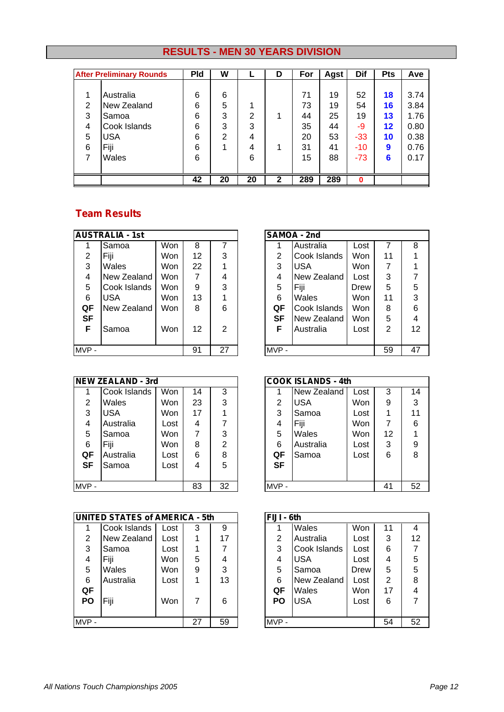# **RESULTS - MEN 30 YEARS DIVISION**

|   | <b>After Preliminary Rounds</b> | <b>Pld</b> | W              |    | D | For | Agst | Dif   | <b>Pts</b>        | Ave  |
|---|---------------------------------|------------|----------------|----|---|-----|------|-------|-------------------|------|
|   |                                 |            |                |    |   |     |      |       |                   |      |
|   | Australia                       | 6          | 6              |    |   | 71  | 19   | 52    | 18                | 3.74 |
| 2 | New Zealand                     | 6          | 5              |    |   | 73  | 19   | 54    | 16                | 3.84 |
| 3 | Samoa                           | 6          | 3              | 2  |   | 44  | 25   | 19    | 13                | 1.76 |
| 4 | Cook Islands                    | 6          | 3              | 3  |   | 35  | 44   | -9    | $12 \ \mathsf{ }$ | 0.80 |
| 5 | <b>USA</b>                      | 6          | $\overline{2}$ | 4  |   | 20  | 53   | $-33$ | 10                | 0.38 |
| 6 | Fiji                            | 6          |                | 4  |   | 31  | 41   | $-10$ | 9                 | 0.76 |
|   | Wales                           | 6          |                | 6  |   | 15  | 88   | $-73$ | 6                 | 0.17 |
|   |                                 |            |                |    |   |     |      |       |                   |      |
|   |                                 | 42         | 20             | 20 | 2 | 289 | 289  | ŋ     |                   |      |

|           | <b>AUSTRALIA - 1st</b> |     |    |         |    | SAMOA - 2nd  |   |
|-----------|------------------------|-----|----|---------|----|--------------|---|
|           | Samoa                  | Won | 8  |         |    | Australia    |   |
| 2         | Fiji                   | Won | 12 | 3       | 2  | Cook Islands | N |
| 3         | Wales                  | Won | 22 |         | 3  | <b>USA</b>   | N |
| 4         | New Zealand            | Won | 7  | 4       | 4  | New Zealand  | L |
| 5         | Cook Islands           | Won | 9  | 3       | 5  | Fiji         | D |
| 6         | <b>USA</b>             | Won | 13 |         | 6  | Wales        | N |
| QF        | New Zealand            | Won | 8  | 6       | QF | Cook Islands | N |
| <b>SF</b> |                        |     |    |         | SF | New Zealand  | W |
| F         | Samoa                  | Won | 12 | 2       | F  | Australia    |   |
|           |                        |     |    |         |    |              |   |
| MVP-      |                        | 91  | 27 | $MVP -$ |    |              |   |

|                | <b>NEW ZEALAND - 3rd</b> |      |    |                |           | <b>COOK ISLANDS - 4th</b> |      |   |
|----------------|--------------------------|------|----|----------------|-----------|---------------------------|------|---|
|                | Cook Islands             | Won  | 14 | 3              |           | New Zealand               | Lost | ć |
| 2              | Wales                    | Won  | 23 | 3              | 2         | <b>USA</b>                | Won  |   |
| 3              | <b>USA</b>               | Won  | 17 |                | 3         | Samoa                     | Lost |   |
| $\overline{4}$ | Australia                | Lost | 4  |                | 4         | Fiji                      | Won  |   |
| 5              | Samoa                    | Won  | 7  | 3              | 5         | Wales                     | Won  | 1 |
| 6              | Fiji                     | Won  | 8  | $\overline{2}$ | 6         | Australia                 | Lost | ć |
| QF             | Australia                | Lost | 6  | 8              | QF        | Samoa                     | Lost | ŀ |
| <b>SF</b>      | Samoa                    | Lost | 4  | 5              | <b>SF</b> |                           |      |   |
|                |                          |      |    |                |           |                           |      |   |
| $MVP -$        |                          |      | 83 | 32             | $MVP -$   |                           |      | 4 |

|           | <b>UNITED STATES of AMERICA - 5th</b> |      |    |    | FIJI - 6th |             |
|-----------|---------------------------------------|------|----|----|------------|-------------|
|           | Cook Islands                          | Lost | 3  | 9  |            | Wales       |
| 2         | New Zealand                           | Lost |    | 17 | 2          | Australia   |
| 3         | Samoa                                 | Lost |    | 7  | 3          | Cook Island |
| 4         | Fiji                                  | Won  | 5  | 4  | 4          | <b>USA</b>  |
| 5         | Wales                                 | Won  | 9  | 3  | 5          | Samoa       |
| 6         | Australia                             | Lost |    | 13 | 6          | New Zealan  |
| QF        |                                       |      |    |    | QF         | Wales       |
| <b>PO</b> | Fiji                                  | Won  | 7  | 6  | PO         | <b>USA</b>  |
|           |                                       |      |    |    |            |             |
| MVP-      |                                       |      | 27 | 59 | MVP-       |             |

|                | <b>AUSTRALIA - 1st</b> |            |    |    | SAMOA - 2nd |      |              |            |    |    |
|----------------|------------------------|------------|----|----|-------------|------|--------------|------------|----|----|
|                | <b>Samoa</b>           | Won        | 8  |    |             |      | Australia    | Lost       |    | 8  |
| $\overline{2}$ | l Fiji                 | Won        | 12 | 3  |             | 2    | Cook Islands | Won        | 11 |    |
| 3              | Wales                  | Won        | 22 |    |             | 3    | <b>USA</b>   | <b>Won</b> | 7  |    |
| 4              | New Zealand            | Won        | 7  | 4  |             | 4    | New Zealand  | Lost       | 3  |    |
| 5              | Cook Islands           | Won        | 9  | 3  |             | 5    | Fiii         | Drew       | 5  | 5  |
| 6              | <b>USA</b>             | Won        | 13 |    |             | 6    | Wales        | <b>Won</b> | 11 | 3  |
| QF             | New Zealand            | <b>Won</b> | 8  | 6  |             | QF   | Cook Islands | <b>Won</b> | 8  | 6  |
| <b>SF</b>      |                        |            |    |    |             | SF   | New Zealand  | <b>Won</b> | 5  | 4  |
| F              | Samoa                  | Won        | 12 | 2  |             | F    | Australia    | Lost       | 2  | 12 |
|                |                        |            |    |    |             |      |              |            |    |    |
| MVP -          |                        |            | 91 | 27 |             | MVP- |              |            | 59 | 47 |

|                | <b>NEW ZEALAND - 3rd</b> |      |    |                | <b>COOK ISLANDS - 4th</b> |           |             |            |    |    |
|----------------|--------------------------|------|----|----------------|---------------------------|-----------|-------------|------------|----|----|
|                | Cook Islands             | Won  | 14 | 3              |                           |           | New Zealand | Lost       | 3  | 14 |
| $\overline{2}$ | <b>Wales</b>             | Won  | 23 | 3              |                           | 2         | <b>USA</b>  | <b>Won</b> | 9  | 3  |
| 3              | <b>USA</b>               | Won  | 17 |                |                           | 3         | Samoa       | Lost       | 1  | 11 |
| 4              | Australia                | Lost | 4  |                |                           | 4         | Fiji        | Won        | 7  | 6  |
| 5              | Samoa                    | Won  | 7  | 3              |                           | 5         | Wales       | Won        | 12 |    |
| 6              | Fiji                     | Won  | 8  | $\mathfrak{p}$ |                           | 6         | Australia   | Lost       | 3  | 9  |
| QF             | Australia                | Lost | 6  | 8              |                           | QF        | Samoa       | Lost       | 6  | 8  |
| <b>SF</b>      | Samoa                    | Lost | 4  | 5              |                           | <b>SF</b> |             |            |    |    |
|                |                          |      |    |                |                           |           |             |            |    |    |
| MVP -          |                          |      | 83 | 32             |                           | MVP-      |             |            | 41 | 52 |

|       | <b>UNITED STATES of AMERICA - 5th</b> |      |    |    | FIJI - 6th |           |              |      |    |    |
|-------|---------------------------------------|------|----|----|------------|-----------|--------------|------|----|----|
|       | Cook Islands                          | Lost | 3  | 9  |            |           | Wales        | Won  | 11 | 4  |
| 2     | New Zealand                           | Lost |    | 17 |            | 2         | Australia    | Lost | 3  | 12 |
| 3     | Samoa                                 | Lost |    |    |            | 3         | Cook Islands | Lost | 6  |    |
| 4     | lFiii                                 | Won  | 5. | 4  |            | 4         | <b>USA</b>   | Lost | 4  | 5  |
| 5     | Wales                                 | Won  | 9  | 3  |            | 5         | Samoa        | Drew | 5  | 5  |
| 6     | Australia                             | Lost |    | 13 |            | 6         | New Zealand  | Lost | 2  | 8  |
| QF    |                                       |      |    |    |            | QF        | Wales        | Won  | 17 | 4  |
| PO    | Fiji                                  | Won  | 7  | 6  |            | <b>PO</b> | <b>USA</b>   | Lost | 6  |    |
|       |                                       |      |    |    |            |           |              |      |    |    |
| MVP - |                                       |      | 27 | 59 |            | MVP-      |              |      | 54 | 52 |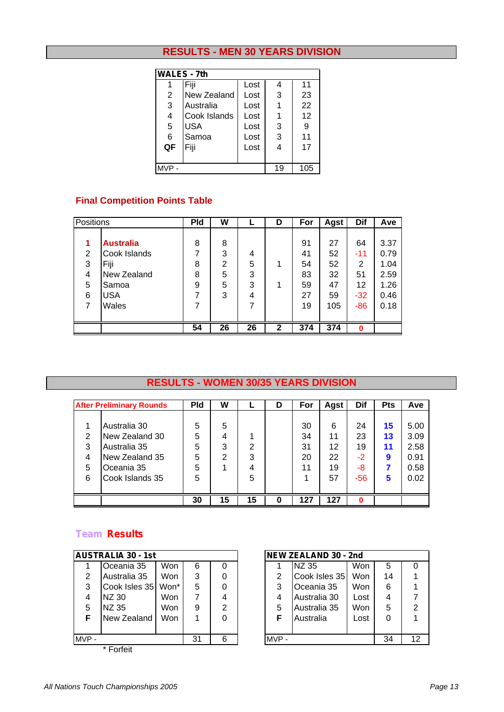## **RESULTS - MEN 30 YEARS DIVISION**

|       | <b>WALES - 7th</b> |      |    |     |
|-------|--------------------|------|----|-----|
| 1     | Fiji               | Lost | 4  | 11  |
| 2     | New Zealand        | Lost | 3  | 23  |
| 3     | Australia          | Lost |    | 22  |
| 4     | Cook Islands       | Lost |    | 12  |
| 5     | <b>USA</b>         | Lost | 3  | 9   |
| 6     | Samoa              | Lost | 3  | 11  |
| QF    | Fiji               | Lost | 4  | 17  |
|       |                    |      |    |     |
| MVP - |                    |      | 19 | 105 |

## **Final Competition Points Table**

|   | Positions        |    | W              |    | D            | For | Agst | Dif      | Ave  |
|---|------------------|----|----------------|----|--------------|-----|------|----------|------|
|   |                  |    |                |    |              |     |      |          |      |
| 1 | <b>Australia</b> | 8  | 8              |    |              | 91  | 27   | 64       | 3.37 |
| 2 | Cook Islands     | 7  | 3              | 4  |              | 41  | 52   | $-11$    | 0.79 |
| 3 | Fiji             | 8  | $\overline{2}$ | 5  |              | 54  | 52   | 2        | 1.04 |
| 4 | New Zealand      | 8  | 5              | 3  |              | 83  | 32   | 51       | 2.59 |
| 5 | Samoa            | 9  | 5              | 3  |              | 59  | 47   | 12       | 1.26 |
| 6 | <b>USA</b>       | 7  | 3              | 4  |              | 27  | 59   | $-32$    | 0.46 |
|   | Wales            | 7  |                | 7  |              | 19  | 105  | $-86$    | 0.18 |
|   |                  |    |                |    |              |     |      |          |      |
|   |                  | 54 | 26             | 26 | $\mathbf{2}$ | 374 | 374  | $\bf{0}$ |      |

#### **RESULTS - WOMEN 30/35 YEARS DIVISION**

|   | <b>After Preliminary Rounds</b> | <b>Pld</b> | W  |    | D | For | Agst | Dif   | <b>Pts</b> | Ave  |
|---|---------------------------------|------------|----|----|---|-----|------|-------|------------|------|
|   |                                 |            |    |    |   |     |      |       |            |      |
|   | Australia 30                    | 5          | 5  |    |   | 30  | 6    | 24    | 15         | 5.00 |
| 2 | New Zealand 30                  | 5          | 4  |    |   | 34  | 11   | 23    | 13         | 3.09 |
| 3 | Australia 35                    | 5          | 3  | 2  |   | 31  | 12   | 19    | 11         | 2.58 |
| 4 | New Zealand 35                  | 5          | 2  | 3  |   | 20  | 22   | -2    | 9          | 0.91 |
| 5 | Oceania 35                      | 5          |    | 4  |   | 11  | 19   | -8    |            | 0.58 |
| 6 | Cook Islands 35                 | 5          |    | 5  |   |     | 57   | $-56$ | 5          | 0.02 |
|   |                                 |            |    |    |   |     |      |       |            |      |
|   |                                 | 30         | 15 | 15 | O | 127 | 127  | n     |            |      |

|      | <b>AUSTRALIA 30 - 1st</b> |      |    |   |         | <b>NEW ZEALAND 30 - 2nd</b> |      |    |
|------|---------------------------|------|----|---|---------|-----------------------------|------|----|
|      | Oceania 35                | Won  | 6  | 0 |         | NZ 35                       | Won  | 5  |
| 2    | Australia 35              | Won  | 3  | 0 | 2       | Cook Isles 35               | Won  | 14 |
| 3    | Cook Isles 35             | Won* | 5  | 0 | 3       | Oceania 35                  | Won  | 6  |
| 4    | NZ 30                     | Won  | 7  | 4 | 4       | Australia 30                | Lost |    |
| 5    | NZ 35                     | Won  | 9  | 2 | 5       | Australia 35                | Won  | 5  |
| F    | New Zealand               | Won  |    | 0 | F       | Australia                   | Lost | 0  |
|      |                           |      |    |   |         |                             |      |    |
| MVP- |                           |      | 31 | 6 | $MVP -$ |                             |      | 34 |
|      | * Forfeit                 |      |    |   |         |                             |      |    |

|       | <b>AUSTRALIA 30 - 1st</b> |            |    |   | NEW ZEALAND 30 - 2nd |               |      |    |                 |  |
|-------|---------------------------|------------|----|---|----------------------|---------------|------|----|-----------------|--|
|       | Oceania 35                | Won        | 6  |   |                      | <b>INZ 35</b> | Won  | 5  |                 |  |
| 2     | Australia 35              | Won        | 3  |   | 2                    | Cook Isles 35 | Won  | 14 |                 |  |
| 3     | Cook Isles 35             | Won*       | 5  | 0 | 3                    | Oceania 35    | Won  | 6  |                 |  |
| 4     | INZ 30                    | <b>Won</b> |    | 4 |                      | Australia 30  | Lost | 4  |                 |  |
| 5     | <b>INZ 35</b>             | Won        | 9  | 2 | 5                    | Australia 35  | Won  | 5  | 2               |  |
|       | New Zealand               | <b>Won</b> |    | 0 | F                    | Australia     | Lost | 0  |                 |  |
|       |                           |            |    |   |                      |               |      |    |                 |  |
| MVP - |                           |            | 31 | 6 | MVP-                 |               |      | 34 | 12 <sup>2</sup> |  |
|       |                           |            |    |   |                      |               |      |    |                 |  |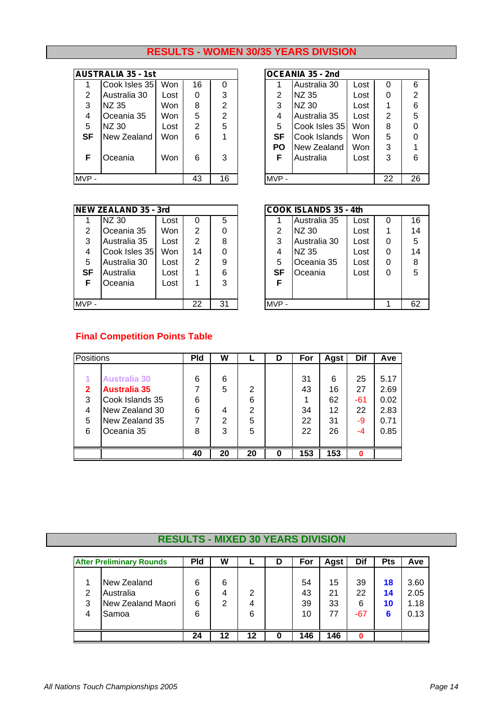## **RESULTS - WOMEN 30/35 YEARS DIVISION**

|      | <b>AUSTRALIA 35 - 1st</b> |      |                                   |                |           | OCEANIA 35 - 2nd |      |
|------|---------------------------|------|-----------------------------------|----------------|-----------|------------------|------|
|      | Cook Isles 35             | Won  | 16                                |                |           | Australia 30     | Lost |
| 2    | Australia 30              | Lost | 0                                 | 3              | 2         | NZ 35            | Lost |
| 3    | NZ 35                     | Won  | 8                                 | $\mathfrak{p}$ | 3         | NZ 30            | Lost |
| 4    | Oceania 35                | Won  | 5                                 | $\overline{2}$ | 4         | Australia 35     | Lost |
| 5    | NZ 30                     | Lost | $\overline{2}$                    | 5              | 5         |                  | Won  |
| SF   | New Zealand               | Won  | 6                                 |                | <b>SF</b> | Cook Islands     | Won  |
|      |                           |      |                                   |                | <b>PO</b> | New Zealand      | Won  |
| F.   | Oceania                   | Won  | 6                                 | 3              | F         | Australia        | Lost |
|      |                           |      |                                   |                |           |                  |      |
| MVP- |                           |      | Cook Isles 35<br>16<br>43<br>MVP- |                |           |                  |      |

|           | <b>AUSTRALIA 35 - 1st</b> |            |    |                |           | OCEANIA 35 - 2nd |            |    |    |
|-----------|---------------------------|------------|----|----------------|-----------|------------------|------------|----|----|
|           | Cook Isles 35             | Won        | 16 | 0              |           | Australia 30     | Lost       | 0  | 6  |
| 2         | Australia 30              | Lost       | 0  | 3              | 2         | INZ 35           | Lost       | 0  | 2  |
| 3         | INZ 35                    | Won        | 8  | $\overline{2}$ | 3         | <b>NZ 30</b>     | Lost       |    | 6  |
| 4         | Oceania 35                | Won        | 5  | $\overline{2}$ | 4         | Australia 35     | Lost       | 2  | 5  |
| 5         | INZ 30                    | Lost       | 2  | 5              | 5         | Cook Isles 35    | <b>Won</b> | 8  | 0  |
| <b>SF</b> | New Zealand               | Won        | 6  |                | SF        | Cook Islands     | <b>Won</b> | 5  | ი  |
|           |                           |            |    |                | <b>PO</b> | New Zealand      | <b>Won</b> | 3  |    |
| F         | Oceania                   | <b>Won</b> | 6  | 3              | F         | Australia        | Lost       | 3  | 6  |
|           |                           |            |    |                |           |                  |            |    |    |
| MVP -     |                           |            | 43 | 16             | MVP-      |                  |            | 22 | 26 |

|         | <b>NEW ZEALAND 35 - 3rd</b> |            |    |    |         | <b>COOK ISLANDS 35 - 4th</b> |      |   |    |
|---------|-----------------------------|------------|----|----|---------|------------------------------|------|---|----|
|         | NZ 30                       | Lost       | 0  | 5  |         | Australia 35                 | Lost | O | 16 |
| 2       | Oceania 35                  | <b>Won</b> | 2  | 0  | 2       | <b>INZ 30</b>                | Lost |   | 14 |
| 3       | Australia 35                | Lost       | 2  | 8  | 3       | Australia 30                 | Lost | 0 | 5  |
| 4       | Cook Isles 35               | <b>Won</b> | 14 | 0  | 4       | <b>INZ 35</b>                | Lost | 0 | 14 |
| 5       | Australia 30                | Lost       | 2  | 9  | 5       | Oceania 35                   | Lost | 0 | 8  |
| SF      | Australia                   | Lost       |    | 6  | SF      | <b>Oceania</b>               | Lost | 0 | 5  |
| F       | Oceania                     | Lost       |    | 3  | F       |                              |      |   |    |
|         |                             |            |    |    |         |                              |      |   |    |
| $MVP -$ |                             |            | 22 | 31 | $MVP -$ |                              |      |   | 62 |

|      | <b>EW ZEALAND 35 - 3rd</b> |      |    |    | <b>COOK ISLANDS 35 - 4th</b> |           |              |      |   |    |  |
|------|----------------------------|------|----|----|------------------------------|-----------|--------------|------|---|----|--|
|      | <b>NZ 30</b>               | Lost | 0  | 5  |                              |           | Australia 35 | Lost | 0 | 16 |  |
| 2    | Oceania 35                 | Won  | 2  | 0  |                              | 2         | NZ 30        | Lost | 1 | 14 |  |
| 3    | Australia 35               | Lost | 2  | 8  |                              | 3         | Australia 30 | Lost | 0 | 5  |  |
| 4    | Cook Isles 35              | Won  | 14 | 0  |                              | 4         | NZ 35        | Lost | 0 | 14 |  |
| -5   | Australia 30               | Lost | 2  | 9  |                              | 5         | Oceania 35   | Lost | 0 | 8  |  |
| SF   | Australia                  | Lost |    | 6  |                              | <b>SF</b> | Oceania      | Lost | 0 | 5  |  |
| F.   | Oceania                    | Lost |    | 3  |                              | F         |              |      |   |    |  |
|      |                            |      |    |    |                              |           |              |      |   |    |  |
| VP - |                            |      | 22 | 31 |                              | MVP-      |              |      |   | 62 |  |

## **Final Competition Points Table**

|              | Positions           |    | W              |    | D | For | Agst | Dif      | Ave  |
|--------------|---------------------|----|----------------|----|---|-----|------|----------|------|
|              |                     |    |                |    |   |     |      |          |      |
|              | <b>Australia 30</b> | 6  | 6              |    |   | 31  | 6    | 25       | 5.17 |
| $\mathbf{2}$ | <b>Australia 35</b> |    | 5              | 2  |   | 43  | 16   | 27       | 2.69 |
| 3            | Cook Islands 35     | 6  |                | 6  |   |     | 62   | -61      | 0.02 |
| 4            | New Zealand 30      | 6  | 4              | 2  |   | 34  | 12   | 22       | 2.83 |
| 5            | New Zealand 35      | 7  | $\overline{2}$ | 5  |   | 22  | 31   | -9       | 0.71 |
| 6            | Oceania 35          | 8  | 3              | 5  |   | 22  | 26   | -4       | 0.85 |
|              |                     |    |                |    |   |     |      |          |      |
|              |                     | 40 | 20             | 20 | 0 | 153 | 153  | $\bf{0}$ |      |

# **RESULTS - MIXED 30 YEARS DIVISION**

|   | <b>After Preliminary Rounds</b> | <b>Pld</b> | W  |    | D | For | Agst | Dif   | <b>Pts</b> | Ave  |
|---|---------------------------------|------------|----|----|---|-----|------|-------|------------|------|
|   | New Zealand                     | 6          | 6  |    |   | 54  | 15   | 39    | 18         | 3.60 |
| 2 | Australia                       | 6          | 4  | 2  |   | 43  | 21   | 22    | 14         | 2.05 |
| 3 | New Zealand Maori               | 6          | 2  | 4  |   | 39  | 33   | 6     | 10         | 1.18 |
| 4 | <b>Samoa</b>                    | 6          |    | 6  |   | 10  | 77   | $-67$ | 6          | 0.13 |
|   |                                 | 24         | 12 | 12 | o | 146 | 146  | 0     |            |      |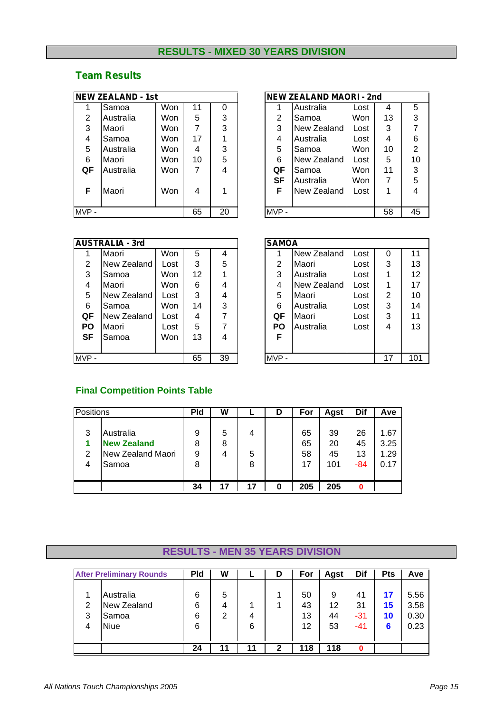## **RESULTS - MIXED 30 YEARS DIVISION**

## *Team Results*

|      | <b>NEW ZEALAND - 1st</b> |            |    |    |           | <b>NEW ZEALAND MAORI - 2nd</b> |      |    |                |
|------|--------------------------|------------|----|----|-----------|--------------------------------|------|----|----------------|
|      | Samoa                    | Won        | 11 | 0  |           | Australia                      | Lost | 4  | 5              |
| 2    | Australia                | Won        | 5  | 3  | 2         | Samoa                          | Won  | 13 | 3              |
| 3    | Maori                    | Won        | 7  | 3  | 3         | New Zealand                    | Lost | 3  | $\overline{7}$ |
| 4    | Samoa                    | Won        | 17 |    | 4         | Australia                      | Lost | 4  | 6              |
| 5    | Australia                | Won        | 4  | 3  | 5         | Samoa                          | Won  | 10 | 2              |
| 6    | Maori                    | Won        | 10 | 5  | 6         | New Zealand                    | Lost | 5  | 10             |
| QF   | Australia                | <b>Won</b> | 7  | 4  | QF        | Samoa                          | Won  | 11 | 3              |
|      |                          |            |    |    | <b>SF</b> | Australia                      | Won  | 7  | 5              |
| F    | Maori                    | Won        | 4  |    | F         | New Zealand                    | Lost | 1  | 4              |
|      |                          |            |    |    |           |                                |      |    |                |
| MVP- |                          |            | 65 | 20 | MVP-      |                                |      | 58 | 45             |

|       | <b>NEW ZEALAND - 1st</b> |            |    |    | <b>NEW ZEALAND MAORI - 2nd</b> |             |            |    |                |  |
|-------|--------------------------|------------|----|----|--------------------------------|-------------|------------|----|----------------|--|
|       | Samoa                    | Won        | 11 | 0  |                                | Australia   | Lost       | 4  | 5              |  |
| 2     | Australia                | Won        | 5  | 3  | $\overline{2}$                 | Samoa       | <b>Won</b> | 13 | 3              |  |
| 3     | Maori                    | <b>Won</b> |    | 3  | 3                              | New Zealand | Lost       | 3  |                |  |
| 4     | Samoa                    | <b>Won</b> | 17 |    | 4                              | Australia   | Lost       | 4  | 6              |  |
| 5     | Australia                | <b>Won</b> | 4  | 3  | 5                              | Samoa       | Won        | 10 | $\overline{2}$ |  |
| 6     | <b>IMaori</b>            | Won        | 10 | 5  | 6                              | New Zealand | Lost       | 5  | 10             |  |
| QF    | Australia                | Won        | 7  | 4  | QF                             | Samoa       | <b>Won</b> | 11 | 3              |  |
|       |                          |            |    |    | SF                             | Australia   | <b>Won</b> | 7  | 5              |  |
| F     | Maori                    | <b>Won</b> | 4  |    | F                              | New Zealand | Lost       | 1  | 4              |  |
|       |                          |            |    |    |                                |             |            |    |                |  |
| MVP - |                          |            | 65 | 20 | MVP-                           |             |            | 58 | 45             |  |

|                | <b>AUSTRALIA - 3rd</b> |      |    |    | <b>SAMOA</b>   |                    |
|----------------|------------------------|------|----|----|----------------|--------------------|
|                | Maori                  | Won  | 5  | 4  |                | <b>New Zealand</b> |
| $\overline{2}$ | New Zealand            | Lost | 3  | 5  | $\overline{2}$ | Maori              |
| 3              | Samoa                  | Won  | 12 |    | 3              | Australia          |
| 4              | Maori                  | Won  | 6  | 4  | 4              | New Zealand        |
| 5              | New Zealand            | Lost | 3  | 4  | 5              | Maori              |
| 6              | Samoa                  | Won  | 14 | 3  | 6              | Australia          |
| QF             | New Zealand            | Lost | 4  | 7  | QF             | Maori              |
| <b>PO</b>      | Maori                  | Lost | 5  | 7  | <b>PO</b>      | Australia          |
| SF             | Samoa                  | Won  | 13 | 4  | F              |                    |
|                |                        |      |    |    |                |                    |
| MVP-           |                        |      | 65 | 39 | $MVP -$        |                    |

|                | <b>AUSTRALIA - 3rd</b> |      |    |    | <b>SAMOA</b> |             |      |          |     |  |  |
|----------------|------------------------|------|----|----|--------------|-------------|------|----------|-----|--|--|
|                | Maori                  | Won  | 5  | 4  |              | New Zealand | Lost | $\Omega$ | 11  |  |  |
| $\overline{2}$ | New Zealand            | Lost | 3  | 5  | 2            | Maori       | Lost | 3        | 13  |  |  |
| 3              | Samoa                  | Won  | 12 | 1  | 3            | Australia   | Lost |          | 12  |  |  |
| 4              | Maori                  | Won  | 6  | 4  | 4            | New Zealand | Lost |          | 17  |  |  |
| 5              | New Zealand            | Lost | 3  | 4  | 5            | Maori       | Lost | 2        | 10  |  |  |
| 6              | Samoa                  | Won  | 14 | 3  | 6            | Australia   | Lost | 3        | 14  |  |  |
| QF             | New Zealand            | Lost | 4  | 7  | QF           | Maori       | Lost | 3        | 11  |  |  |
| <b>PO</b>      | Maori                  | Lost | 5  | 7  | <b>PO</b>    | Australia   | Lost | 4        | 13  |  |  |
| SF             | Samoa                  | Won  | 13 | 4  | F            |             |      |          |     |  |  |
|                |                        |      |    |    |              |             |      |          |     |  |  |
| MVP -          |                        |      | 65 | 39 | MVP-         |             |      | 17       | 101 |  |  |

## **Final Competition Points Table**

| Positions |                    | <b>Pld</b> | W  |    | D | For | Agst | Dif | Ave  |
|-----------|--------------------|------------|----|----|---|-----|------|-----|------|
|           |                    |            |    |    |   |     |      |     |      |
| 3         | Australia          | 9          | 5  | 4  |   | 65  | 39   | 26  | 1.67 |
|           | <b>New Zealand</b> | 8          | 8  |    |   | 65  | 20   | 45  | 3.25 |
| 2         | New Zealand Maori  | 9          | 4  | 5  |   | 58  | 45   | 13  | 1.29 |
| 4         | Samoa              | 8          |    | 8  |   | 17  | 101  | -84 | 0.17 |
|           |                    |            |    |    |   |     |      |     |      |
|           |                    | 34         | 17 | 17 | 0 | 205 | 205  | 0   |      |

# **RESULTS - MEN 35 YEARS DIVISION**

|                | <b>After Preliminary Rounds</b> |    | W  |    | D | For | Agst | Dif   | <b>Pts</b> | Ave  |
|----------------|---------------------------------|----|----|----|---|-----|------|-------|------------|------|
|                | Australia                       | 6  | 5  |    |   | 50  | 9    | 41    | 17         | 5.56 |
| $\overline{2}$ | New Zealand                     | 6  | 4  |    |   | 43  | 12   | 31    | 15         | 3.58 |
| 3              | Samoa                           | 6  | 2  | 4  |   | 13  | 44   | -31   | 10         | 0.30 |
| 4              | <b>Niue</b>                     | 6  |    | 6  |   | 12  | 53   | $-41$ | 6          | 0.23 |
|                |                                 |    |    |    |   |     |      |       |            |      |
|                |                                 | 24 | 11 | 11 | 2 | 118 | 118  |       |            |      |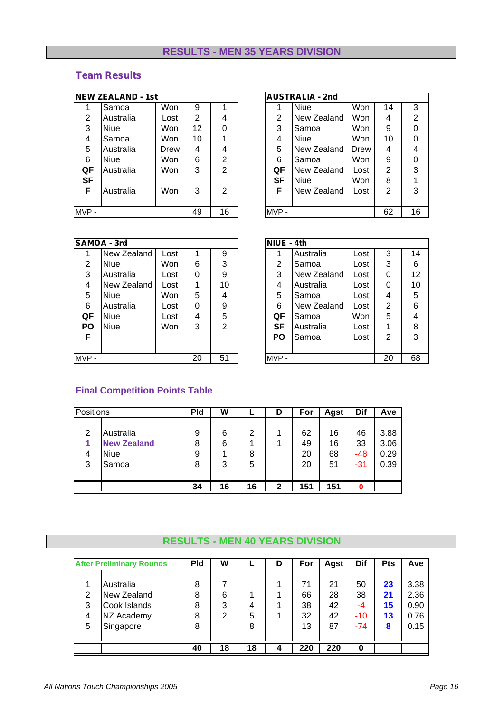## **RESULTS - MEN 35 YEARS DIVISION**

## *Team Results*

|           | <b>NEW ZEALAND - 1st</b> |      |                |                |           | <b>AUSTRALIA - 2nd</b> |      |
|-----------|--------------------------|------|----------------|----------------|-----------|------------------------|------|
|           | Samoa                    | Won  | 9              |                |           | <b>Niue</b>            | Won  |
| 2         | Australia                | Lost | $\overline{2}$ | 4              | 2         | New Zealand            | Won  |
| 3         | <b>Niue</b>              | Won  | 12             | 0              | 3         | Samoa                  | Won  |
| 4         | Samoa                    | Won  | 10             |                | 4         | <b>Niue</b>            | Won  |
| 5         | Australia                | Drew | 4              | 4              | 5         | New Zealand            | Drew |
| 6         | <b>Niue</b>              | Won  | 6              | $\overline{2}$ | 6         | Samoa                  | Won  |
| QF        | Australia                | Won  | 3              | $\overline{2}$ | QF        | New Zealand            | Lost |
| <b>SF</b> |                          |      |                |                | <b>SF</b> | <b>Niue</b>            | Won  |
| F         | Australia                | Won  | 3              | 2              | F         | New Zealand            | Lost |
|           |                          |      |                |                |           |                        |      |
| $MVP -$   |                          |      | 49             | 16             | MVP-      |                        |      |

|                | <b>NEW ZEALAND - 1st</b> |            |                |                |      | <b>AUSTRALIA - 2nd</b> |            |    |    |
|----------------|--------------------------|------------|----------------|----------------|------|------------------------|------------|----|----|
| Ή              | Samoa                    | Won        | 9              |                |      | <b>Niue</b>            | Won        | 14 | 3  |
| $\overline{2}$ | Australia                | Lost       | $\overline{2}$ | 4              | 2    | New Zealand            | <b>Won</b> | 4  | 2  |
| 3              | <b>Niue</b>              | Won        | 12             | 0              | 3    | Samoa                  | Won        | 9  | 0  |
| 4              | Samoa                    | Won        | 10             |                | 4    | <b>Niue</b>            | <b>Won</b> | 10 | 0  |
| 5              | Australia                | Drew       | 4              | 4              | 5    | New Zealand            | Drew       | 4  | 4  |
| 6              | <b>Niue</b>              | Won        | 6              | $\overline{2}$ | 6    | Samoa                  | Won        | 9  | 0  |
| QF             | Australia                | Won        | 3              | 2              | QF   | New Zealand            | Lost       | 2  | 3  |
| <b>SF</b>      |                          |            |                |                | SF   | <b>Niue</b>            | <b>Won</b> | 8  |    |
| F              | Australia                | <b>Won</b> | 3              | 2              | F    | New Zealand            | Lost       | 2  | 3  |
|                |                          |            |                |                |      |                        |            |    |    |
| MVP -          |                          |            | 49             | 16             | MVP- |                        |            | 62 | 16 |

|           | SAMOA - 3rd |      |    |                | NIUE - 4th |             |
|-----------|-------------|------|----|----------------|------------|-------------|
|           | New Zealand | Lost |    | 9              |            | Australia   |
| 2         | Niue        | Won  | 6  | 3              | 2          | Samoa       |
| 3         | Australia   | Lost | 0  | 9              | 3          | New Zealand |
| 4         | New Zealand | Lost |    | 10             | 4          | Australia   |
| 5         | Niue        | Won  | 5  | 4              | 5          | Samoa       |
| 6         | Australia   | Lost | 0  | 9              | 6          | New Zealand |
| QF        | Niue        | Lost | 4  | 5              | QF         | Samoa       |
| <b>PO</b> | <b>Niue</b> | Won  | 3  | $\overline{2}$ | <b>SF</b>  | Australia   |
| F         |             |      |    |                | <b>PO</b>  | Samoa       |
|           |             |      |    |                |            |             |
| MVP-      |             |      | 20 | 51             | MVP-       |             |

|                | SAMOA - 3rd |            |    |                | NIUE - 4th     |             |            |    |                 |
|----------------|-------------|------------|----|----------------|----------------|-------------|------------|----|-----------------|
|                | New Zealand | Lost       |    | 9              |                | Australia   | Lost       | 3  | 14              |
| $\overline{2}$ | <b>Niue</b> | <b>Won</b> | 6  | 3              | $\overline{2}$ | Samoa       | Lost       | 3  | 6               |
| 3              | Australia   | Lost       | 0  | 9              | 3              | New Zealand | Lost       | 0  | 12 <sup>2</sup> |
| 4              | New Zealand | Lost       |    | 10             | 4              | Australia   | Lost       | 0  | 10              |
| 5              | Niue        | Won        | 5. | 4              | 5              | Samoa       | Lost       | 4  | 5               |
| 6              | Australia   | Lost       | 0  | 9              | 6              | New Zealand | Lost       | 2  | 6               |
| QF             | Niue        | Lost       | 4  | 5              | QF             | Samoa       | <b>Won</b> | 5  | 4               |
| <b>PO</b>      | Niue        | Won        | 3  | $\overline{2}$ | SF             | Australia   | Lost       | 1  | 8               |
| F              |             |            |    |                | <b>PO</b>      | Samoa       | Lost       | 2  | 3               |
|                |             |            |    |                |                |             |            |    |                 |
| MVP -          |             |            | 20 | 51             | MVP-           |             |            | 20 | 68              |

## **Final Competition Points Table**

|   | Positions          |    | W  | -  | D | For | <b>Agst</b> | Dif | Ave  |
|---|--------------------|----|----|----|---|-----|-------------|-----|------|
|   |                    |    |    |    |   |     |             |     |      |
| 2 | Australia          | 9  | 6  | 2  |   | 62  | 16          | 46  | 3.88 |
|   | <b>New Zealand</b> | 8  | 6  |    |   | 49  | 16          | 33  | 3.06 |
| 4 | <b>Niue</b>        | 9  |    | 8  |   | 20  | 68          | -48 | 0.29 |
| 3 | Samoa              | 8  | 3  | 5  |   | 20  | 51          | -31 | 0.39 |
|   |                    |    |    |    |   |     |             |     |      |
|   |                    | 34 | 16 | 16 | 2 | 151 | 151         | 0   |      |

# **RESULTS - MEN 40 YEARS DIVISION**

|               | <b>After Preliminary Rounds</b> | <b>Pld</b> | W  |    | D | For      | Agst     | Dif      | <b>Pts</b> | Ave          |
|---------------|---------------------------------|------------|----|----|---|----------|----------|----------|------------|--------------|
|               |                                 |            | 7  |    |   |          |          |          |            |              |
| $\mathcal{P}$ | Australia<br>New Zealand        | 8<br>8     | 6  |    |   | 71<br>66 | 21<br>28 | 50<br>38 | 23<br>21   | 3.38<br>2.36 |
| 3             | Cook Islands                    | 8          | 3  | 4  |   | 38       | 42       | -4       | 15         | 0.90         |
| 4             | NZ Academy                      | 8          | 2  | 5  |   | 32       | 42       | $-10$    | 13         | 0.76         |
| 5             | Singapore                       | 8          |    | 8  |   | 13       | 87       | $-74$    | 8          | 0.15         |
|               |                                 |            |    |    |   |          |          |          |            |              |
|               |                                 | 40         | 18 | 18 | 4 | 220      | 220      | 0        |            |              |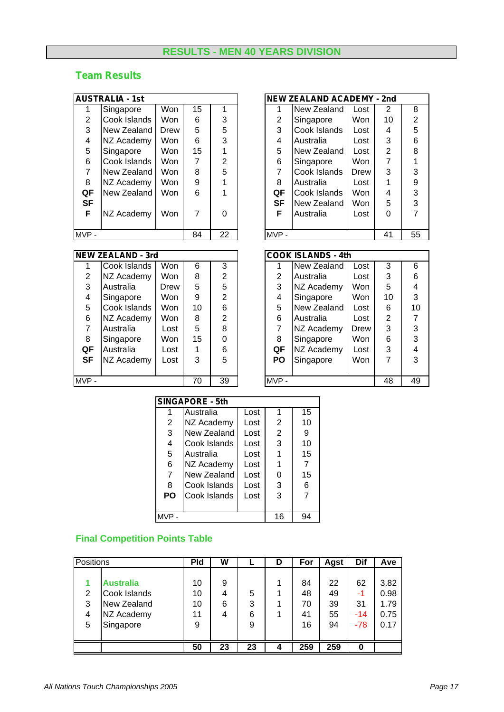## **RESULTS - MEN 40 YEARS DIVISION**

#### *Team Results*

|     | AUSTRALIA - 1st |      |    |    |
|-----|-----------------|------|----|----|
| 1   | Singapore       | Won  | 15 | 1  |
| 2   | Cook Islands    | Won  | 6  | 3  |
| 3   | New Zealand     | Drew | 5  | 5  |
| 4   | NZ Academy      | Won  | 6  | 3  |
| 5   | Singapore       | Won  | 15 |    |
| 6   | Cook Islands    | Won  | 7  | 2  |
| 7   | New Zealand     | Won  | 8  | 5  |
| 8   | NZ Academy      | Won  | 9  |    |
| QF  | New Zealand     | Won  | 6  |    |
| SF  |                 |      |    |    |
| F   | NZ Academy      | Won  | 7  | ი  |
|     |                 |      |    |    |
| MVP |                 |      | 84 | 22 |

| NEW ZEALAND - 3rd |  |  |  |
|-------------------|--|--|--|
|                   |  |  |  |

| 1                       | Cook Islands | Won  | 6  | З              |
|-------------------------|--------------|------|----|----------------|
| 2                       | NZ Academy   | Won  | 8  | $\overline{2}$ |
| 3                       | Australia    | Drew | 5  | 5              |
| $\overline{\mathbf{4}}$ | Singapore    | Won  | 9  | $\overline{2}$ |
| 5                       | Cook Islands | Won  | 10 | 6              |
| 6                       | NZ Academy   | Won  | 8  | $\overline{2}$ |
| $\overline{7}$          | Australia    | Lost | 5  | 8              |
| 8                       | Singapore    | Won  | 15 | 0              |
| QF                      | Australia    | Lost | 1  | 6              |
| <b>SF</b>               | NZ Academy   | Lost | 3  | 5              |
|                         |              |      |    |                |
| <b>MVP</b>              |              |      | 70 | 39             |

|           | AUSTRALIA - 1st |            |                |                |           | <b>NEW ZEALAND ACADEMY - 2nd</b> |            |    |    |
|-----------|-----------------|------------|----------------|----------------|-----------|----------------------------------|------------|----|----|
|           | Singapore       | Won        | 15             |                |           | New Zealand                      | Lost       | 2  | 8  |
| 2         | Cook Islands    | <b>Won</b> | 6              | 3              | 2         | Singapore                        | <b>Won</b> | 10 | 2  |
| 3         | New Zealand     | Drew       | 5              | 5              | 3         | Cook Islands                     | Lost       | 4  | 5  |
| 4         | NZ Academy      | Won        | 6              | 3              | 4         | Australia                        | Lost       | 3  | 6  |
| 5         | Singapore       | Won        | 15             |                | 5         | New Zealand                      | Lost       | 2  | 8  |
| 6         | Cook Islands    | <b>Won</b> | 7              | $\overline{2}$ | 6         | Singapore                        | <b>Won</b> | 7  |    |
| 7         | New Zealand     | <b>Won</b> | 8              | 5              | 7         | Cook Islands                     | Drew       | 3  | 3  |
| 8         | NZ Academy      | Won        | 9              |                | 8         | Australia                        | Lost       | 1  | 9  |
| QF        | New Zealand     | <b>Won</b> | 6              |                | QF        | Cook Islands                     | Won        | 4  | 3  |
| <b>SF</b> |                 |            |                |                | <b>SF</b> | New Zealand                      | <b>Won</b> | 5  | 3  |
| F         | NZ Academy      | Won        | $\overline{7}$ | $\Omega$       | F         | Australia                        | Lost       | 0  | 7  |
|           |                 |            |                |                |           |                                  |            |    |    |
| MVP -     |                 |            | 84             | 22             | MVP-      |                                  |            | 41 | 55 |

|                | <b>NEW ZEALAND - 3rd</b> |            |    |                |      | <b>COOK ISLANDS - 4th</b> |            |                |    |
|----------------|--------------------------|------------|----|----------------|------|---------------------------|------------|----------------|----|
|                | Cook Islands             | Won        | 6  | 3              |      | New Zealand               | Lost       | 3              | 6  |
| $\overline{2}$ | NZ Academy               | Won        | 8  | 2              | 2    | Australia                 | Lost       | 3              | 6  |
| 3              | Australia                | Drew       | 5  | 5              | 3    | NZ Academy                | <b>Won</b> | 5              | 4  |
| 4              | Singapore                | <b>Won</b> | 9  | 2              | 4    | Singapore                 | Won        | 10             | 3  |
| 5              | Cook Islands             | <b>Won</b> | 10 | 6              | 5    | New Zealand               | Lost       | 6              | 10 |
| 6              | NZ Academy               | Won        | 8  | $\overline{2}$ | 6    | Australia                 | Lost       | $\overline{2}$ | 7  |
| 7              | Australia                | Lost       | 5  | 8              | 7    | NZ Academy                | Drew       | 3              | 3  |
| 8              | Singapore                | Won        | 15 | $\Omega$       | 8    | Singapore                 | Won        | 6              | 3  |
| QF             | Australia                | Lost       |    | 6              | QF   | NZ Academy                | Lost       | 3              | 4  |
| <b>SF</b>      | NZ Academy               | Lost       | 3  | 5              | PO   | Singapore                 | Won        | 7              | 3  |
|                |                          |            |    |                |      |                           |            |                |    |
| MVP -          |                          |            | 70 | 39             | MVP- |                           |            | 48             | 49 |

|                | SINGAPORE - 5th |      |                |    |  |
|----------------|-----------------|------|----------------|----|--|
|                | Australia       | Lost | 1              | 15 |  |
| 2              | NZ Academy      | Lost | 2              | 10 |  |
| 3              | New Zealand     | Lost | $\overline{2}$ | 9  |  |
| $\overline{4}$ | Cook Islands    | Lost | 3              | 10 |  |
| 5              | Australia       | Lost |                | 15 |  |
| 6              | NZ Academy      | Lost |                |    |  |
| $\overline{7}$ | New Zealand     | Lost | 0              | 15 |  |
| 8              | Cook Islands    | Lost | 3              | 6  |  |
| PO             | Cook Islands    | Lost | 3              | 7  |  |
|                |                 |      |                |    |  |
| MVP            |                 |      | 16             | 94 |  |

## **Final Competition Points Table**

|   | Positions        |    | W  |    | D | For | <b>Agst</b> | Dif   | Ave  |
|---|------------------|----|----|----|---|-----|-------------|-------|------|
|   | <b>Australia</b> | 10 | 9  |    |   | 84  | 22          | 62    | 3.82 |
| 2 | Cook Islands     | 10 | 4  | 5  |   | 48  | 49          | -1    | 0.98 |
| 3 | New Zealand      | 10 | 6  | 3  |   | 70  | 39          | 31    | 1.79 |
| 4 | NZ Academy       | 11 | 4  | 6  |   | 41  | 55          | $-14$ | 0.75 |
| 5 | Singapore        | 9  |    | 9  |   | 16  | 94          | $-78$ | 0.17 |
|   |                  |    |    |    |   |     |             |       |      |
|   |                  | 50 | 23 | 23 | 4 | 259 | 259         | 0     |      |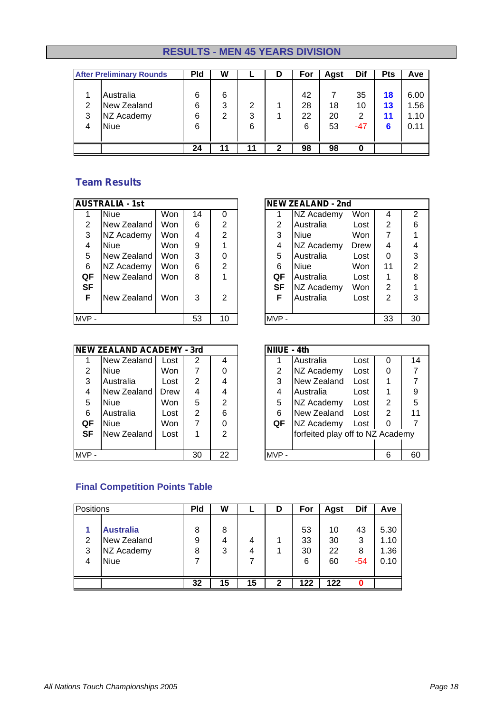## **RESULTS - MEN 45 YEARS DIVISION**

|             | <b>After Preliminary Rounds</b>                       | <b>Pld</b>       | W           |             | D | For                 | <b>Agst</b>    | Dif                    | <b>Pts</b>          | Ave                          |
|-------------|-------------------------------------------------------|------------------|-------------|-------------|---|---------------------|----------------|------------------------|---------------------|------------------------------|
| 2<br>3<br>4 | Australia<br>New Zealand<br>NZ Academy<br><b>Niue</b> | 6<br>6<br>6<br>6 | 6<br>3<br>2 | 2<br>3<br>6 |   | 42<br>28<br>22<br>6 | 18<br>20<br>53 | 35<br>10<br>2<br>$-47$ | 18<br>13<br>11<br>6 | 6.00<br>1.56<br>1.10<br>0.11 |
|             |                                                       | 24               | 11          |             | 2 | 98                  | 98             | 0                      |                     |                              |

## *Team Results*

|           | <b>AUSTRALIA - 1st</b> |            |    |    |           | <b>NEW ZEALAND - 2nd</b> |      |                       |
|-----------|------------------------|------------|----|----|-----------|--------------------------|------|-----------------------|
|           | <b>Niue</b>            | Won        | 14 | 0  |           | NZ Academy               | Won  | ∠                     |
| 2         | New Zealand            | Won        | 6  | 2  | 2         | Australia                | Lost | $\tilde{\phantom{a}}$ |
| 3         | NZ Academy             | Won        | 4  | 2  | 3         | <b>Niue</b>              | Won  |                       |
| 4         | <b>Niue</b>            | Won        | 9  |    | 4         | NZ Academy               | Drew | ۷                     |
| 5         | New Zealand            | Won        | 3  | 0  | 5         | Australia                | Lost |                       |
| 6         | NZ Academy             | <b>Won</b> | 6  | 2  | 6         | <b>Niue</b>              | Won  | 1                     |
| QF        | New Zealand            | <b>Won</b> | 8  |    | QF        | Australia                | Lost |                       |
| <b>SF</b> |                        |            |    |    | <b>SF</b> | NZ Academy               | Won  | $\tilde{ }$           |
| F         | New Zealand            | Won        | 3  | 2  | F         | Australia                | Lost | 2                     |
|           |                        |            |    |    |           |                          |      |                       |
| MVP-      |                        |            | 53 | 10 | MVP-      |                          |      | 3                     |

|                | AUSTRALIA - 1st |            |    |                |                | <b>NEW ZEALAND - 2nd</b> |            |                |    |
|----------------|-----------------|------------|----|----------------|----------------|--------------------------|------------|----------------|----|
|                | <b>Niue</b>     | Won        | 14 |                |                | NZ Academy               | Won        | 4              | 2  |
| $\overline{2}$ | New Zealand     | Won        | 6  | $\overline{2}$ | $\overline{2}$ | Australia                | Lost       | $\overline{2}$ | 6  |
| 3              | NZ Academy      | Won        | 4  | $\overline{2}$ | 3              | <b>Niue</b>              | <b>Won</b> | 7              |    |
| 4              | <b>Niue</b>     | Won        | 9  |                | 4              | NZ Academy               | Drew       | 4              | 4  |
| 5              | New Zealand     | Won        | 3  | 0              | 5              | Australia                | Lost       | 0              | 3  |
| 6              | NZ Academy      | Won        | 6  | $\overline{2}$ | 6              | <b>Niue</b>              | <b>Won</b> | 11             | 2  |
| QF             | New Zealand     | <b>Won</b> | 8  |                | QF             | Australia                | Lost       |                | 8  |
| <b>SF</b>      |                 |            |    |                | SF             | <b>NZ Academy</b>        | Won        | 2              |    |
| F              | New Zealand     | Won        | 3  | 2              | F              | Australia                | Lost       | 2              | 3  |
|                |                 |            |    |                |                |                          |            |                |    |
| MVP -          |                 |            | 53 | 10             | MVP-           |                          |            | 33             | 30 |

|      | <b>NEW ZEALAND ACADEMY - 3rd</b> |      |    |                | NIIUE - 4th |                  |
|------|----------------------------------|------|----|----------------|-------------|------------------|
|      | New Zealand                      | Lost | 2  |                |             | Australia        |
| 2    | Niue                             | Won  | 7  |                | 2           | NZ Academy       |
| 3    | Australia                        | Lost | 2  | 4              | 3           | New Zealand      |
| 4    | New Zealand                      | Drew | 4  | 4              | 4           | Australia        |
| 5    | Niue                             | Won  | 5  | $\overline{2}$ | 5           | NZ Academy       |
| 6    | Australia                        | Lost | 2  | 6              | 6           | New Zealand      |
| QF   | <b>Niue</b>                      | Won  | 7  | 0              | QF          | NZ Academy       |
| SF   | New Zealand                      | Lost |    | 2              |             | forfeited play o |
|      |                                  |      |    |                |             |                  |
| MVP- |                                  |      | 30 | 22             | MVP-        |                  |

|                | <b>NEW ZEALAND ACADEMY - 3rd</b> |      |    |                | NIIUE - 4th |                                  |      |   |    |
|----------------|----------------------------------|------|----|----------------|-------------|----------------------------------|------|---|----|
|                | New Zealand                      | Lost | 2  | 4              |             | Australia                        | Lost | 0 | 14 |
| $\overline{2}$ | <b>Niue</b>                      | Won  | 7  | 0              | 2           | NZ Academy                       | Lost | 0 |    |
| 3              | Australia                        | Lost | 2  | 4              | 3           | New Zealand                      | Lost |   |    |
| 4              | New Zealand                      | Drew | 4  | 4              | 4           | Australia                        | Lost |   | 9  |
| 5              | <b>Niue</b>                      | Won  | 5  | $\overline{2}$ | 5           | NZ Academy                       | Lost | 2 | 5  |
| 6              | Australia                        | Lost | 2  | 6              | 6           | New Zealand                      | Lost | 2 | 11 |
| QF             | <b>Niue</b>                      | Won  | 7  | 0              | QF          | NZ Academy                       | Lost | 0 |    |
| <b>SF</b>      | New Zealand                      | Lost |    | $\overline{2}$ |             | forfeited play off to NZ Academy |      |   |    |
|                |                                  |      |    |                |             |                                  |      |   |    |
| MVP -          |                                  |      | 30 | 22             | MVP-        |                                  |      | 6 | 60 |

#### **Final Competition Points Table**

| Positions |                  | <b>Pld</b> | W  |    | D | For | <b>Agst</b> | Dif   | Ave  |
|-----------|------------------|------------|----|----|---|-----|-------------|-------|------|
|           | <b>Australia</b> | 8          | 8  |    |   | 53  | 10          | 43    | 5.30 |
| 2         | New Zealand      | 9          | 4  | 4  |   | 33  | 30          | 3     | 1.10 |
| 3         | NZ Academy       | 8          | 3  | 4  |   | 30  | 22          | 8     | 1.36 |
| 4         | <b>Niue</b>      |            |    |    |   | 6   | 60          | $-54$ | 0.10 |
|           |                  |            | 15 | 15 | 2 | 122 | 122         |       |      |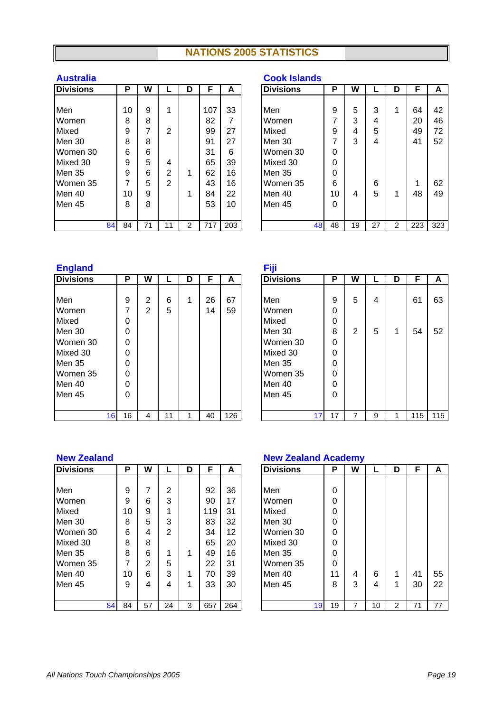## **NATIONS 2005 STATISTICS**

| <b>Divisions</b> | Р  | W  |                | D | F   | A   | <b>Divisions</b> |    | Ρ  | W  |  |
|------------------|----|----|----------------|---|-----|-----|------------------|----|----|----|--|
|                  |    |    |                |   |     |     |                  |    |    |    |  |
| Men              | 10 | 9  | 1              |   | 107 | 33  | Men              |    | 9  | 5  |  |
| Women            | 8  | 8  |                |   | 82  | 7   | Women            |    | 7  | 3  |  |
| Mixed            | 9  | 7  | $\overline{2}$ |   | 99  | 27  | Mixed            |    | 9  | 4  |  |
| Men 30           | 8  | 8  |                |   | 91  | 27  | Men 30           |    | 7  | 3  |  |
| Women 30         | 6  | 6  |                |   | 31  | 6   | Women 30         |    | 0  |    |  |
| Mixed 30         | 9  | 5  | 4              |   | 65  | 39  | Mixed 30         |    | 0  |    |  |
| Men 35           | 9  | 6  | $\overline{2}$ | 1 | 62  | 16  | Men 35           |    | 0  |    |  |
| Women 35         | 7  | 5  | $\overline{2}$ |   | 43  | 16  | Women 35         |    | 6  |    |  |
| Men 40           | 10 | 9  |                | 1 | 84  | 22  | Men 40           |    | 10 | 4  |  |
| Men 45           | 8  | 8  |                |   | 53  | 10  | Men 45           |    | 0  |    |  |
|                  |    |    |                |   |     |     |                  |    |    |    |  |
| 84               | 84 | 71 | 11             | 2 | 717 | 203 |                  | 48 | 48 | 19 |  |

#### **Australia Cook Islands**

| <b>Divisions</b> | P  | W  |    | D | F   | A   | <b>Divisions</b> | Р  | W  |    | D | F   | A   |
|------------------|----|----|----|---|-----|-----|------------------|----|----|----|---|-----|-----|
|                  |    |    |    |   |     |     |                  |    |    |    |   |     |     |
| Men              | 10 | 9  | 4  |   | 107 | 33  | Men              | 9  | 5  | 3  |   | 64  | 42  |
| Women            | 8  | 8  |    |   | 82  | 7   | Women            | 7  | 3  | 4  |   | 20  | 46  |
| Mixed            | 9  | ⇁  | 2  |   | 99  | 27  | Mixed            | 9  | 4  | 5  |   | 49  | 72  |
| Men 30           | 8  | 8  |    |   | 91  | 27  | Men 30           | 7  | 3  | 4  |   | 41  | 52  |
| Women 30         | 6  | 6  |    |   | 31  | 6   | Women 30         | 0  |    |    |   |     |     |
| Mixed 30         | 9  | 5  | 4  |   | 65  | 39  | Mixed 30         | 0  |    |    |   |     |     |
| Men 35           | 9  | 6  | 2  |   | 62  | 16  | Men 35           | 0  |    |    |   |     |     |
| Women 35         | 7  | 5  | 2  |   | 43  | 16  | Women 35         | 6  |    | 6  |   |     | 62  |
| Men 40           | 10 | 9  |    |   | 84  | 22  | Men 40           | 10 | 4  | 5  |   | 48  | 49  |
| Men 45           | 8  | 8  |    |   | 53  | 10  | Men 45           | 0  |    |    |   |     |     |
|                  |    |    |    |   |     |     |                  |    |    |    |   |     |     |
| 84               | 84 | 71 | 11 | 2 | 717 | 203 | 48               | 48 | 19 | 27 | 2 | 223 | 323 |

# **England Fiji**

| <b>Divisions</b> |    | Р  | W |    | D | F  | A   | <b>Divisions</b> |    | P  | W              |  |
|------------------|----|----|---|----|---|----|-----|------------------|----|----|----------------|--|
|                  |    |    |   |    |   |    |     |                  |    |    |                |  |
| Men              |    | 9  | 2 | 6  | 1 | 26 | 67  | <b>Men</b>       |    | 9  | 5              |  |
| Women            |    | 7  | 2 | 5  |   | 14 | 59  | Women            |    | 0  |                |  |
| Mixed            |    | 0  |   |    |   |    |     | Mixed            |    | 0  |                |  |
| Men 30           |    | 0  |   |    |   |    |     | Men 30           |    | 8  | $\overline{2}$ |  |
| Women 30         |    | 0  |   |    |   |    |     | Women 30         |    | 0  |                |  |
| Mixed 30         |    | 0  |   |    |   |    |     | Mixed 30         |    | 0  |                |  |
| Men 35           |    | 0  |   |    |   |    |     | Men 35           |    | 0  |                |  |
| Women 35         |    | 0  |   |    |   |    |     | Women 35         |    | 0  |                |  |
| Men 40           |    | 0  |   |    |   |    |     | Men 40           |    | 0  |                |  |
| Men 45           |    | 0  |   |    |   |    |     | Men 45           |    | 0  |                |  |
|                  |    |    |   |    |   |    |     |                  |    |    |                |  |
|                  | 16 | 16 | 4 | 11 |   | 40 | 126 |                  | 17 | 17 | 7              |  |

| ⊏ngianu          |    |    |                |    |   |    |     | гijг             |    |    |   |   |   |     |     |
|------------------|----|----|----------------|----|---|----|-----|------------------|----|----|---|---|---|-----|-----|
| <b>Divisions</b> |    | P  | W              |    | D | F  | A   | <b>Divisions</b> |    | P  | W |   | D | F   | A   |
|                  |    |    |                |    |   |    |     |                  |    |    |   |   |   |     |     |
| Men              |    | 9  | 2              | 6  |   | 26 | 67  | Men              |    | 9  | 5 | 4 |   | 61  | 63  |
| Women            |    | 7  | $\overline{2}$ | 5  |   | 14 | 59  | Women            |    | 0  |   |   |   |     |     |
| Mixed            |    | 0  |                |    |   |    |     | Mixed            |    | 0  |   |   |   |     |     |
| Men 30           |    | 0  |                |    |   |    |     | Men 30           |    | 8  | 2 | 5 |   | 54  | 52  |
| Women 30         |    | 0  |                |    |   |    |     | Women 30         |    | 0  |   |   |   |     |     |
| Mixed 30         |    | 0  |                |    |   |    |     | Mixed 30         |    | 0  |   |   |   |     |     |
| Men 35           |    | 0  |                |    |   |    |     | Men 35           |    | 0  |   |   |   |     |     |
| Women 35         |    | 0  |                |    |   |    |     | Women 35         |    | 0  |   |   |   |     |     |
| Men 40           |    | 0  |                |    |   |    |     | Men 40           |    | 0  |   |   |   |     |     |
| Men 45           |    | 0  |                |    |   |    |     | Men 45           |    | 0  |   |   |   |     |     |
|                  |    |    |                |    |   |    |     |                  |    |    |   |   |   |     |     |
|                  | 16 | 16 | 4              | 11 |   | 40 | 126 |                  | 17 | 17 |   | 9 |   | 115 | 115 |

| <b>Divisions</b> | Р  | W  |                | D | F   | A   |     | <b>Divisions</b> | Ρ  | W |  |
|------------------|----|----|----------------|---|-----|-----|-----|------------------|----|---|--|
|                  |    |    |                |   |     |     |     |                  |    |   |  |
| Men              | 9  | 7  | $\overline{2}$ |   | 92  | 36  | Men |                  | 0  |   |  |
| Women            | 9  | 6  | 3              |   | 90  | 17  |     | Women            | 0  |   |  |
| Mixed            | 10 | 9  | 1              |   | 119 | 31  |     | Mixed            | 0  |   |  |
| Men 30           | 8  | 5  | 3              |   | 83  | 32  |     | Men 30           | 0  |   |  |
| Women 30         | 6  | 4  | $\mathfrak{p}$ |   | 34  | 12  |     | Women 30         | 0  |   |  |
| Mixed 30         | 8  | 8  |                |   | 65  | 20  |     | Mixed 30         | 0  |   |  |
| Men 35           | 8  | 6  | 1              | 1 | 49  | 16  |     | Men 35           | 0  |   |  |
| Women 35         | 7  | 2  | 5              |   | 22  | 31  |     | Women 35         | 0  |   |  |
| Men 40           | 10 | 6  | 3              | 1 | 70  | 39  |     | Men 40           | 11 | 4 |  |
| Men 45           | 9  | 4  | 4              | 1 | 33  | 30  |     | Men 45           | 8  | 3 |  |
|                  |    |    |                |   |     |     |     |                  |    |   |  |
| 84               | 84 | 57 | 24             | 3 | 657 | 264 |     | 19               | 19 | 7 |  |

#### **New Zealand New Zealand Academy**

| <b>Divisions</b> | P  | W  |    | D | F   | A   | <b>Divisions</b> |                 | P  | W |    | D | F  | A  |
|------------------|----|----|----|---|-----|-----|------------------|-----------------|----|---|----|---|----|----|
|                  |    |    |    |   |     |     |                  |                 |    |   |    |   |    |    |
| Men              | 9  |    | 2  |   | 92  | 36  | Men              |                 | 0  |   |    |   |    |    |
| Women            | 9  | 6  | 3  |   | 90  | 17  | Women            |                 | 0  |   |    |   |    |    |
| Mixed            | 10 | 9  |    |   | 119 | 31  | Mixed            |                 | 0  |   |    |   |    |    |
| Men 30           | 8  | 5  | 3  |   | 83  | 32  | Men 30           |                 | 0  |   |    |   |    |    |
| Women 30         | 6  | 4  | 2  |   | 34  | 12  | Women 30         |                 | 0  |   |    |   |    |    |
| Mixed 30         | 8  | 8  |    |   | 65  | 20  | Mixed 30         |                 | 0  |   |    |   |    |    |
| Men 35           | 8  | 6  |    |   | 49  | 16  | Men 35           |                 | 0  |   |    |   |    |    |
| Women 35         | 7  | 2  | 5  |   | 22  | 31  | Women 35         |                 | 0  |   |    |   |    |    |
| Men 40           | 10 | 6  | 3  |   | 70  | 39  | Men 40           |                 | 11 | 4 | 6  |   | 41 | 55 |
| Men 45           | 9  | 4  | 4  |   | 33  | 30  | Men 45           |                 | 8  | 3 | 4  |   | 30 | 22 |
|                  |    |    |    |   |     |     |                  |                 |    |   |    |   |    |    |
| 84               | 84 | 57 | 24 | 3 | 657 | 264 |                  | 19 <sup>l</sup> | 19 | 7 | 10 | 2 | 71 | 77 |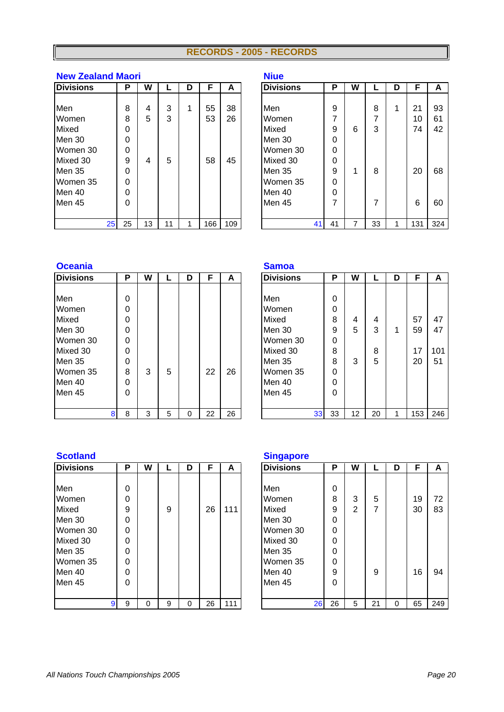#### **RECORDS - 2005 - RECORDS**

#### **New Zealand Maori Niue**

| <b>Divisions</b> |                 | Р  | W  |    | D | F   | A   | <b>Divisions</b> | Ρ  | W |    | D | F                | A   |
|------------------|-----------------|----|----|----|---|-----|-----|------------------|----|---|----|---|------------------|-----|
|                  |                 |    |    |    |   |     |     |                  |    |   |    |   |                  |     |
| Men              |                 | 8  | 4  | 3  |   | 55  | 38  | <b>Men</b>       | 9  |   | 8  |   | 21               | 93  |
| Women            |                 | 8  | 5  | 3  |   | 53  | 26  | Women            | 7  |   | 7  |   | 10               | 61  |
| Mixed            |                 | 0  |    |    |   |     |     | Mixed            | 9  | 6 | 3  |   | 74               | 42  |
| Men 30           |                 | 0  |    |    |   |     |     | Men 30           | 0  |   |    |   |                  |     |
| Women 30         |                 | 0  |    |    |   |     |     | Women 30         | 0  |   |    |   |                  |     |
| Mixed 30         |                 | 9  | 4  | 5  |   | 58  | 45  | Mixed 30         | 0  |   |    |   |                  |     |
| Men 35           |                 | 0  |    |    |   |     |     | Men 35           | 9  |   | 8  |   | 20               | 68  |
| Women 35         |                 | 0  |    |    |   |     |     | Women 35         | 0  |   |    |   |                  |     |
| Men 40           |                 | 0  |    |    |   |     |     | Men 40           | 0  |   |    |   |                  |     |
| Men 45           |                 | 0  |    |    |   |     |     | Men 45           | 7  |   |    |   | 6                | 60  |
|                  |                 |    |    |    |   |     |     |                  |    |   |    |   |                  |     |
|                  | 25 <sub>1</sub> | 25 | 13 | 11 |   | 166 | 109 | 41               | 41 |   | 33 |   | 131 <sup>1</sup> | 324 |

|    | .  |    |    |   |     |     | .                |    |    |   |    |   |     |     |
|----|----|----|----|---|-----|-----|------------------|----|----|---|----|---|-----|-----|
|    | P  | W  |    | D | F   | A   | <b>Divisions</b> |    | P  | W |    | D | F   | A   |
|    |    |    |    |   |     |     |                  |    |    |   |    |   |     |     |
|    | 8  | 4  | 3  | 1 | 55  | 38  | Men              |    | 9  |   | 8  | и | 21  | 93  |
|    | 8  | 5  | 3  |   | 53  | 26  | Women            |    | 7  |   | 7  |   | 10  | 61  |
|    | 0  |    |    |   |     |     | Mixed            |    | 9  | 6 | 3  |   | 74  | 42  |
|    | 0  |    |    |   |     |     | Men 30           |    | 0  |   |    |   |     |     |
|    | 0  |    |    |   |     |     | Women 30         |    | 0  |   |    |   |     |     |
|    | 9  | 4  | 5  |   | 58  | 45  | Mixed 30         |    | 0  |   |    |   |     |     |
|    | 0  |    |    |   |     |     | Men 35           |    | 9  | 1 | 8  |   | 20  | 68  |
|    | 0  |    |    |   |     |     | Women 35         |    | 0  |   |    |   |     |     |
|    | 0  |    |    |   |     |     | Men 40           |    | 0  |   |    |   |     |     |
|    | 0  |    |    |   |     |     | Men 45           |    | 7  |   | 7  |   | 6   | 60  |
|    |    |    |    |   |     |     |                  |    |    |   |    |   |     |     |
| 25 | 25 | 13 | 11 |   | 166 | 109 |                  | 41 | 41 |   | 33 |   | 131 | 324 |

#### **Oceania Samoa**

| <b>Divisions</b> | Ρ | W |   | D | F  | А  | <b>Divisions</b> | Р  | W  |  |
|------------------|---|---|---|---|----|----|------------------|----|----|--|
|                  |   |   |   |   |    |    |                  |    |    |  |
| Men              | 0 |   |   |   |    |    | Men              | 0  |    |  |
| Women            | 0 |   |   |   |    |    | Women            | 0  |    |  |
| Mixed            | 0 |   |   |   |    |    | Mixed            | 8  | 4  |  |
| Men 30           | 0 |   |   |   |    |    | Men 30           | 9  | 5  |  |
| Women 30         | 0 |   |   |   |    |    | Women 30         | 0  |    |  |
| Mixed 30         | 0 |   |   |   |    |    | Mixed 30         | 8  |    |  |
| Men 35           | 0 |   |   |   |    |    | Men 35           | 8  | 3  |  |
| Women 35         | 8 | 3 | 5 |   | 22 | 26 | Women 35         | 0  |    |  |
| Men 40           | 0 |   |   |   |    |    | Men 40           | 0  |    |  |
| Men 45           | 0 |   |   |   |    |    | Men 45           | 0  |    |  |
|                  |   |   |   |   |    |    |                  |    |    |  |
| 8                | 8 | 3 | 5 | 0 | 22 | 26 | 33               | 33 | 12 |  |

| Ultania          |   |   |   |   |    |    | <b>Salliud</b>   |    |    |    |   |     |     |
|------------------|---|---|---|---|----|----|------------------|----|----|----|---|-----|-----|
| <b>Divisions</b> | P | W |   | D | F  | A  | <b>Divisions</b> | P  | W  |    | D | F   | A   |
|                  |   |   |   |   |    |    |                  |    |    |    |   |     |     |
| Men              | 0 |   |   |   |    |    | Men              | 0  |    |    |   |     |     |
| Women            | 0 |   |   |   |    |    | Women            | 0  |    |    |   |     |     |
| Mixed            | 0 |   |   |   |    |    | Mixed            | 8  | 4  | 4  |   | 57  | 47  |
| Men 30           | 0 |   |   |   |    |    | Men 30           | 9  | 5  | 3  |   | 59  | 47  |
| Women 30         | 0 |   |   |   |    |    | Women 30         | 0  |    |    |   |     |     |
| Mixed 30         | 0 |   |   |   |    |    | Mixed 30         | 8  |    | 8  |   | 17  | 101 |
| Men 35           | 0 |   |   |   |    |    | Men 35           | 8  | 3  | 5  |   | 20  | 51  |
| Women 35         | 8 | 3 | 5 |   | 22 | 26 | Women 35         | 0  |    |    |   |     |     |
| Men 40           | 0 |   |   |   |    |    | Men 40           | 0  |    |    |   |     |     |
| Men 45           | 0 |   |   |   |    |    | Men 45           | 0  |    |    |   |     |     |
|                  |   |   |   |   |    |    |                  |    |    |    |   |     |     |
| 8                | 8 | 3 | 5 | 0 | 22 | 26 | 33               | 33 | 12 | 20 |   | 153 | 246 |

#### **Scotland Singapore**

| <b>Divisions</b> |   | Р        | W |   | D | F  | A   | <b>Divisions</b> | Ρ  | W              |  |
|------------------|---|----------|---|---|---|----|-----|------------------|----|----------------|--|
|                  |   |          |   |   |   |    |     |                  |    |                |  |
| Men              |   | 0        |   |   |   |    |     | Men              | 0  |                |  |
| Women            |   | $\Omega$ |   |   |   |    |     | Women            | 8  | 3              |  |
| Mixed            |   | 9        |   | 9 |   | 26 | 111 | Mixed            | 9  | $\overline{2}$ |  |
| Men 30           |   | $\Omega$ |   |   |   |    |     | Men 30           | 0  |                |  |
| Women 30         |   | $\Omega$ |   |   |   |    |     | Women 30         | 0  |                |  |
| Mixed 30         |   | $\Omega$ |   |   |   |    |     | Mixed 30         | 0  |                |  |
| Men 35           |   | $\Omega$ |   |   |   |    |     | Men 35           | 0  |                |  |
| Women 35         |   | $\Omega$ |   |   |   |    |     | Women 35         | 0  |                |  |
| Men 40           |   | $\Omega$ |   |   |   |    |     | Men 40           | 9  |                |  |
| <b>Men 45</b>    |   | $\Omega$ |   |   |   |    |     | Men 45           | 0  |                |  |
|                  |   |          |   |   |   |    |     |                  |    |                |  |
|                  | 9 | 9        | 0 | 9 | 0 | 26 | 111 | 26               | 26 | 5              |  |

| <b>Divisions</b> | P | W |   | D | F  | A   | <b>Divisions</b> | P  | W |    | D | F  | A   |
|------------------|---|---|---|---|----|-----|------------------|----|---|----|---|----|-----|
|                  |   |   |   |   |    |     |                  |    |   |    |   |    |     |
| Men              | 0 |   |   |   |    |     | Men              | 0  |   |    |   |    |     |
| Women            | 0 |   |   |   |    |     | Women            | 8  | 3 | 5  |   | 19 | 72  |
| Mixed            | 9 |   | 9 |   | 26 | 111 | Mixed            | 9  | 2 | 7  |   | 30 | 83  |
| Men 30           | 0 |   |   |   |    |     | Men 30           | 0  |   |    |   |    |     |
| Women 30         | 0 |   |   |   |    |     | Women 30         | 0  |   |    |   |    |     |
| Mixed 30         | 0 |   |   |   |    |     | Mixed 30         | 0  |   |    |   |    |     |
| Men 35           | 0 |   |   |   |    |     | Men 35           | 0  |   |    |   |    |     |
| Women 35         | 0 |   |   |   |    |     | Women 35         | 0  |   |    |   |    |     |
| Men 40           | 0 |   |   |   |    |     | Men 40           | 9  |   | 9  |   | 16 | 94  |
| Men 45           | 0 |   |   |   |    |     | Men 45           | 0  |   |    |   |    |     |
|                  |   |   |   |   |    |     |                  |    |   |    |   |    |     |
|                  | 9 | 0 | 9 | 0 | 26 | 111 | 26               | 26 | 5 | 21 | 0 | 65 | 249 |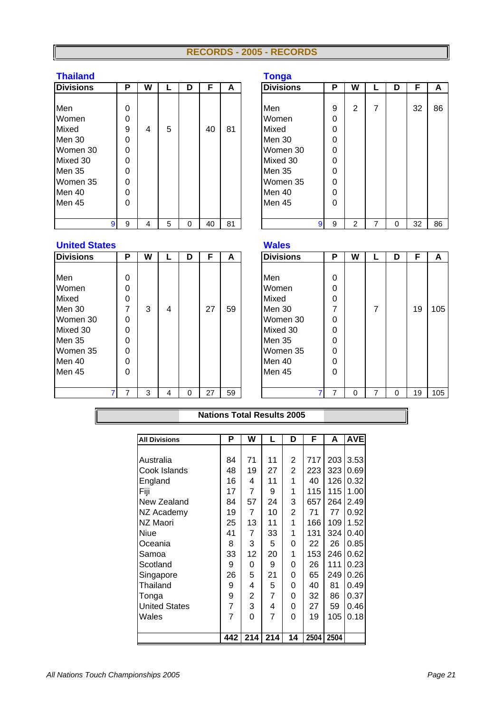#### **RECORDS - 2005 - RECORDS**

### **Thailand Tonga**

| <b>Divisions</b>                                                                        |   | Р                                                | W |   | D | F  | A  | <b>Divisions</b>                                                |                      | Ρ                                         | W              |  |
|-----------------------------------------------------------------------------------------|---|--------------------------------------------------|---|---|---|----|----|-----------------------------------------------------------------|----------------------|-------------------------------------------|----------------|--|
| Men<br>Women<br>Mixed<br>Men 30<br>Women 30<br>Mixed 30<br>Men 35<br>Women 35<br>Men 40 |   | $\Omega$<br>0<br>9<br>0<br>0<br>0<br>0<br>0<br>0 | 4 | 5 |   | 40 | 81 | Men<br>Women<br>Mixed<br>Men 30<br>Mixed 30<br>Men 35<br>Men 40 | Women 30<br>Women 35 | 9<br>0<br>0<br>0<br>0<br>0<br>0<br>0<br>0 | $\overline{2}$ |  |
| Men 45                                                                                  |   | 0                                                |   |   |   |    |    | Men 45                                                          |                      | 0                                         |                |  |
|                                                                                         | 9 | 9                                                | 4 | 5 | 0 | 40 | 81 |                                                                 | 9                    | 9                                         | 2              |  |

|                  |   |   |   |   |    |    | $\bullet$ -      |   |   |   |   |    |    |
|------------------|---|---|---|---|----|----|------------------|---|---|---|---|----|----|
| <b>Divisions</b> | P | W |   | D | F  | A  | <b>Divisions</b> | Р | W |   | D | F  | A  |
|                  |   |   |   |   |    |    |                  |   |   |   |   |    |    |
| Men              | 0 |   |   |   |    |    | Men              | 9 | 2 | 7 |   | 32 | 86 |
| Women            | 0 |   |   |   |    |    | Women            | 0 |   |   |   |    |    |
| Mixed            | 9 | 4 | 5 |   | 40 | 81 | Mixed            | 0 |   |   |   |    |    |
| Men 30           | 0 |   |   |   |    |    | Men 30           | 0 |   |   |   |    |    |
| Women 30         | 0 |   |   |   |    |    | Women 30         | 0 |   |   |   |    |    |
| Mixed 30         | 0 |   |   |   |    |    | Mixed 30         | 0 |   |   |   |    |    |
| Men 35           | 0 |   |   |   |    |    | Men 35           | 0 |   |   |   |    |    |
| Women 35         | 0 |   |   |   |    |    | Women 35         | 0 |   |   |   |    |    |
| Men 40           | 0 |   |   |   |    |    | Men 40           | 0 |   |   |   |    |    |
| Men 45           | 0 |   |   |   |    |    | Men 45           | 0 |   |   |   |    |    |
|                  |   |   |   |   |    |    |                  |   |   |   |   |    |    |
| 9                | 9 | 4 | 5 | 0 | 40 | 81 | 9                | 9 | 2 |   | 0 | 32 | 86 |

#### **United States Wales**

| <b>Divisions</b> | Р        | W |   | D | F  | A  | <b>Divisions</b> | Ρ | W |  |
|------------------|----------|---|---|---|----|----|------------------|---|---|--|
|                  |          |   |   |   |    |    |                  |   |   |  |
| Men              | 0        |   |   |   |    |    | Men              | 0 |   |  |
| Women            | $\Omega$ |   |   |   |    |    | Women            | 0 |   |  |
| Mixed            | $\Omega$ |   |   |   |    |    | Mixed            | 0 |   |  |
| Men 30           | 7        | 3 | 4 |   | 27 | 59 | Men 30           | 7 |   |  |
| Women 30         | 0        |   |   |   |    |    | Women 30         | 0 |   |  |
| Mixed 30         | $\Omega$ |   |   |   |    |    | Mixed 30         | 0 |   |  |
| Men 35           | $\Omega$ |   |   |   |    |    | Men 35           | 0 |   |  |
| Women 35         | $\Omega$ |   |   |   |    |    | Women 35         | 0 |   |  |
| Men 40           | $\Omega$ |   |   |   |    |    | Men 40           | 0 |   |  |
| Men 45           | $\Omega$ |   |   |   |    |    | Men 45           | 0 |   |  |
|                  |          |   |   |   |    |    |                  |   |   |  |
|                  |          | 3 | 4 | 0 | 27 | 59 |                  | 7 | 0 |  |

| <b>Divisions</b> | P | W |   | D | F  | A  | <b>Divisions</b> | P | W |   | D | F  | A   |
|------------------|---|---|---|---|----|----|------------------|---|---|---|---|----|-----|
|                  |   |   |   |   |    |    |                  |   |   |   |   |    |     |
| Men              | 0 |   |   |   |    |    | Men              | 0 |   |   |   |    |     |
| Women            | 0 |   |   |   |    |    | Women            | 0 |   |   |   |    |     |
| Mixed            | 0 |   |   |   |    |    | Mixed            | 0 |   |   |   |    |     |
| Men 30           | 7 | 3 | 4 |   | 27 | 59 | Men 30           | 7 |   | 7 |   | 19 | 105 |
| Women 30         | 0 |   |   |   |    |    | Women 30         | 0 |   |   |   |    |     |
| Mixed 30         | 0 |   |   |   |    |    | Mixed 30         | 0 |   |   |   |    |     |
| Men 35           | 0 |   |   |   |    |    | Men 35           | 0 |   |   |   |    |     |
| Women 35         | 0 |   |   |   |    |    | Women 35         | 0 |   |   |   |    |     |
| Men 40           | 0 |   |   |   |    |    | Men 40           | 0 |   |   |   |    |     |
| Men 45           | 0 |   |   |   |    |    | Men 45           | 0 |   |   |   |    |     |
|                  |   |   |   |   |    |    |                  |   |   |   |   |    |     |
|                  |   | 3 | 4 | 0 | 27 | 59 |                  |   | 0 |   |   | 19 | 105 |

#### **Nations Total Results 2005**

| <b>All Divisions</b> | Р              | W   | L   | D              | F    | A    | <b>AVE</b> |
|----------------------|----------------|-----|-----|----------------|------|------|------------|
|                      |                |     |     |                |      |      |            |
| Australia            | 84             | 71  | 11  | 2              | 717  | 203  | 3.53       |
| Cook Islands         | 48             | 19  | 27  | $\overline{2}$ | 223  | 323  | 0.69       |
| England              | 16             | 4   | 11  | 1              | 40   | 126  | 0.32       |
| Fiji                 | 17             | 7   | 9   | 1              | 115  | 115  | 1.00       |
| New Zealand          | 84             | 57  | 24  | 3              | 657  | 264  | 2.49       |
| NZ Academy           | 19             | 7   | 10  | $\overline{2}$ | 71   | 77   | 0.92       |
| NZ Maori             | 25             | 13  | 11  | 1              | 166  | 109  | 1.52       |
| <b>Niue</b>          | 41             | 7   | 33  | 1              | 131  | 324  | 0.40       |
| Oceania              | 8              | 3   | 5   | 0              | 22   | 26   | 0.85       |
| Samoa                | 33             | 12  | 20  | 1              | 153  | 246  | 0.62       |
| Scotland             | 9              | 0   | 9   | 0              | 26   | 111  | 0.23       |
| Singapore            | 26             | 5   | 21  | 0              | 65   | 249  | 0.26       |
| Thailand             | 9              | 4   | 5   | 0              | 40   | 81   | 0.49       |
| Tonga                | 9              | 2   | 7   | 0              | 32   | 86   | 0.37       |
| <b>United States</b> | $\overline{7}$ | 3   | 4   | 0              | 27   | 59   | 0.46       |
| Wales                | $\overline{7}$ | 0   | 7   | 0              | 19   | 105  | 0.18       |
|                      |                |     |     |                |      |      |            |
|                      | 442            | 214 | 214 | 14             | 2504 | 2504 |            |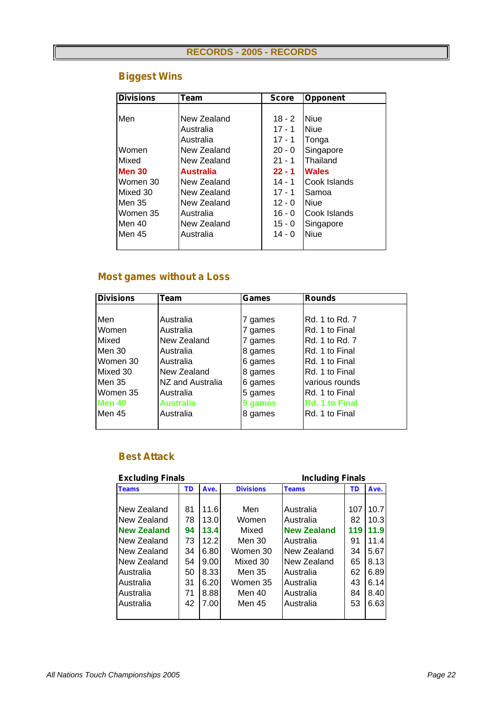| <b>Divisions</b> | Team             | <b>Score</b> | <b>Opponent</b> |
|------------------|------------------|--------------|-----------------|
|                  |                  |              |                 |
| Men              | New Zealand      | $18 - 2$     | <b>Niue</b>     |
|                  | Australia        | $17 - 1$     | <b>Niue</b>     |
|                  | Australia        | $17 - 1$     | Tonga           |
| Women            | New Zealand      | $20 - 0$     | Singapore       |
| Mixed            | New Zealand      | $21 - 1$     | Thailand        |
| <b>Men 30</b>    | <b>Australia</b> | $22 - 1$     | <b>Wales</b>    |
| Women 30         | New Zealand      | $14 - 1$     | Cook Islands    |
| Mixed 30         | New Zealand      | $17 - 1$     | Samoa           |
| Men 35           | New Zealand      | $12 - 0$     | <b>Niue</b>     |
| Women 35         | Australia        | $16 - 0$     | Cook Islands    |
| Men 40           | New Zealand      | $15 - 0$     | Singapore       |
| Men 45           | Australia        | $14 - 0$     | <b>Niue</b>     |
|                  |                  |              |                 |

# *Biggest Wins*

# *Most games without a Loss*

| <b>Divisions</b> | Team             | Games   | <b>Rounds</b>         |
|------------------|------------------|---------|-----------------------|
|                  |                  |         |                       |
| Men              | Australia        | 7 games | Rd. 1 to Rd. 7        |
| Women            | Australia        | 7 games | Rd. 1 to Final        |
| Mixed            | New Zealand      | 7 games | Rd. 1 to Rd. 7        |
| Men 30           | Australia        | 8 games | Rd. 1 to Final        |
| Women 30         | Australia        | 6 games | Rd. 1 to Final        |
| Mixed 30         | New Zealand      | 8 games | Rd. 1 to Final        |
| Men 35           | NZ and Australia | 6 games | various rounds        |
| Women 35         | Australia        | 5 games | Rd. 1 to Final        |
| <b>Men 40</b>    | <b>Australia</b> | 9 games | <b>Rd. 1 to Final</b> |
| Men 45           | Australia        | 8 games | Rd. 1 to Final        |
|                  |                  |         |                       |

#### *Best Attack*

| <b>Excluding Finals</b> |    | <b>Including Finals</b> |                  |                    |     |      |  |
|-------------------------|----|-------------------------|------------------|--------------------|-----|------|--|
| <b>Teams</b>            | TD | Ave.                    | <b>Divisions</b> | <b>Teams</b>       | TD  | Ave. |  |
|                         |    |                         |                  |                    |     |      |  |
| New Zealand             | 81 | 11.6                    | Men              | Australia          | 107 | 10.7 |  |
| New Zealand             | 78 | 13.0                    | Women            | Australia          | 82  | 10.3 |  |
| <b>New Zealand</b>      | 94 | 13.4                    | Mixed            | <b>New Zealand</b> | 119 | 11.9 |  |
| New Zealand             | 73 | 12.2                    | Men 30           | Australia          | 91  | 11.4 |  |
| New Zealand             | 34 | 6.80                    | Women 30         | New Zealand        | 34  | 5.67 |  |
| New Zealand             | 54 | 9.00                    | Mixed 30         | New Zealand        | 65  | 8.13 |  |
| Australia               | 50 | 8.33                    | Men 35           | Australia          | 62  | 6.89 |  |
| Australia               | 31 | 6.20                    | Women 35         | Australia          | 43  | 6.14 |  |
| Australia               | 71 | 8.88                    | Men 40           | Australia          | 84  | 8.40 |  |
| Australia               | 42 | 7.00                    | Men 45           | Australia          | 53  | 6.63 |  |
|                         |    |                         |                  |                    |     |      |  |